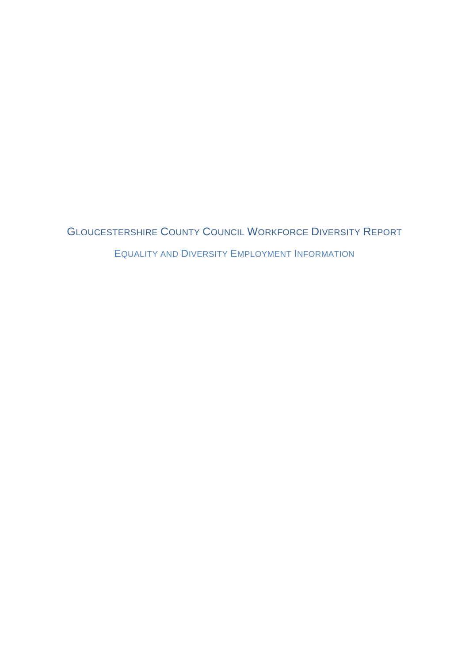GLOUCESTERSHIRE COUNTY COUNCIL WORKFORCE DIVERSITY REPORT EQUALITY AND DIVERSITY EMPLOYMENT INFORMATION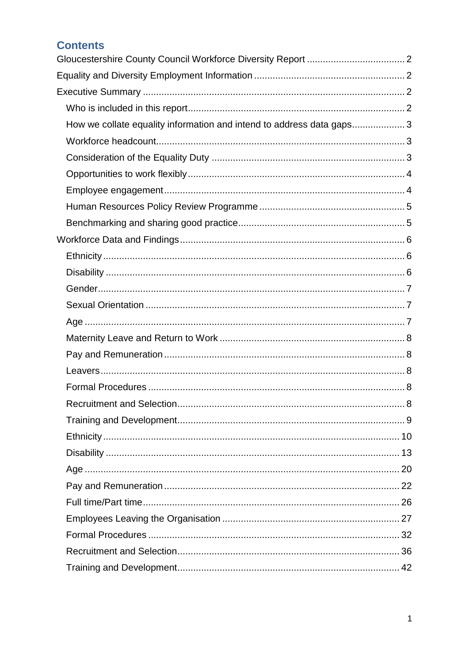| <b>Contents</b>                                                       |  |
|-----------------------------------------------------------------------|--|
|                                                                       |  |
|                                                                       |  |
|                                                                       |  |
|                                                                       |  |
| How we collate equality information and intend to address data gaps 3 |  |
|                                                                       |  |
|                                                                       |  |
|                                                                       |  |
|                                                                       |  |
|                                                                       |  |
|                                                                       |  |
|                                                                       |  |
|                                                                       |  |
|                                                                       |  |
|                                                                       |  |
|                                                                       |  |
|                                                                       |  |
|                                                                       |  |
|                                                                       |  |
|                                                                       |  |
|                                                                       |  |
|                                                                       |  |
|                                                                       |  |
|                                                                       |  |
|                                                                       |  |
|                                                                       |  |
|                                                                       |  |
|                                                                       |  |
|                                                                       |  |
|                                                                       |  |
|                                                                       |  |
|                                                                       |  |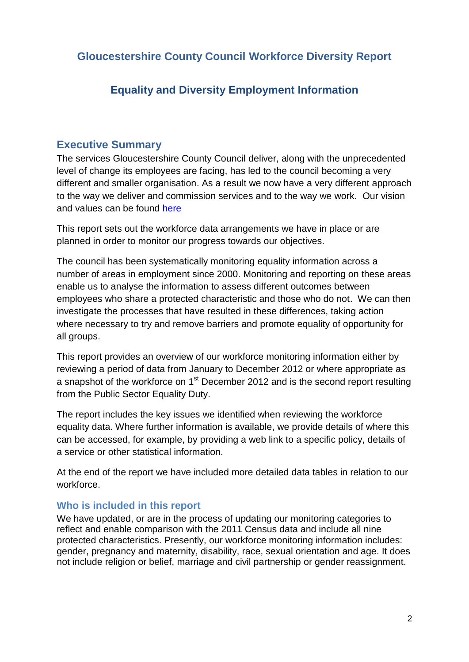<span id="page-2-1"></span><span id="page-2-0"></span>**Gloucestershire County Council Workforce Diversity Report**

# **Equality and Diversity Employment Information**

## <span id="page-2-2"></span>**Executive Summary**

The services Gloucestershire County Council deliver, along with the unprecedented level of change its employees are facing, has led to the council becoming a very different and smaller organisation. As a result we now have a very different approach to the way we deliver and commission services and to the way we work. Our vision and values can be found [here](http://www.gloucestershire.gov.uk/councilstrategy)

This report sets out the workforce data arrangements we have in place or are planned in order to monitor our progress towards our objectives.

The council has been systematically monitoring equality information across a number of areas in employment since 2000. Monitoring and reporting on these areas enable us to analyse the information to assess different outcomes between employees who share a protected characteristic and those who do not. We can then investigate the processes that have resulted in these differences, taking action where necessary to try and remove barriers and promote equality of opportunity for all groups.

This report provides an overview of our workforce monitoring information either by reviewing a period of data from January to December 2012 or where appropriate as a snapshot of the workforce on 1<sup>st</sup> December 2012 and is the second report resulting from the Public Sector Equality Duty.

The report includes the key issues we identified when reviewing the workforce equality data. Where further information is available, we provide details of where this can be accessed, for example, by providing a web link to a specific policy, details of a service or other statistical information.

At the end of the report we have included more detailed data tables in relation to our workforce.

#### <span id="page-2-3"></span>**Who is included in this report**

We have updated, or are in the process of updating our monitoring categories to reflect and enable comparison with the 2011 Census data and include all nine protected characteristics. Presently, our workforce monitoring information includes: gender, pregnancy and maternity, disability, race, sexual orientation and age. It does not include religion or belief, marriage and civil partnership or gender reassignment.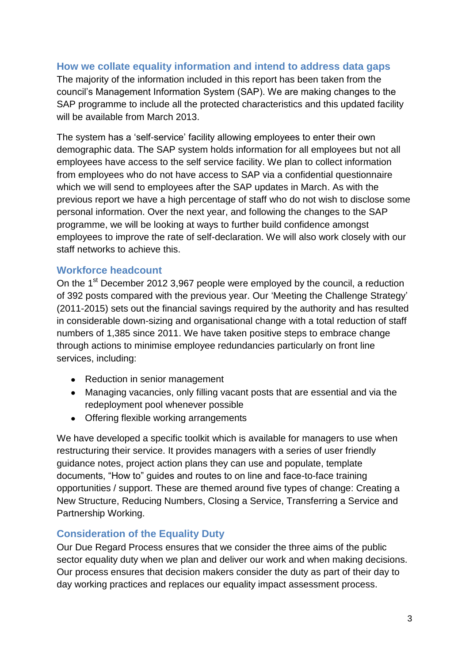#### <span id="page-3-0"></span>**How we collate equality information and intend to address data gaps**

The majority of the information included in this report has been taken from the council's Management Information System (SAP). We are making changes to the SAP programme to include all the protected characteristics and this updated facility will be available from March 2013.

The system has a 'self-service' facility allowing employees to enter their own demographic data. The SAP system holds information for all employees but not all employees have access to the self service facility. We plan to collect information from employees who do not have access to SAP via a confidential questionnaire which we will send to employees after the SAP updates in March. As with the previous report we have a high percentage of staff who do not wish to disclose some personal information. Over the next year, and following the changes to the SAP programme, we will be looking at ways to further build confidence amongst employees to improve the rate of self-declaration. We will also work closely with our staff networks to achieve this.

#### <span id="page-3-1"></span>**Workforce headcount**

On the 1<sup>st</sup> December 2012 3,967 people were employed by the council, a reduction of 392 posts compared with the previous year. Our 'Meeting the Challenge Strategy' (2011-2015) sets out the financial savings required by the authority and has resulted in considerable down-sizing and organisational change with a total reduction of staff numbers of 1,385 since 2011. We have taken positive steps to embrace change through actions to minimise employee redundancies particularly on front line services, including:

- Reduction in senior management
- Managing vacancies, only filling vacant posts that are essential and via the redeployment pool whenever possible
- Offering flexible working arrangements

We have developed a specific toolkit which is available for managers to use when restructuring their service. It provides managers with a series of user friendly guidance notes, project action plans they can use and populate, template documents, "How to" guides and routes to on line and face-to-face training opportunities / support. These are themed around five types of change: Creating a New Structure, Reducing Numbers, Closing a Service, Transferring a Service and Partnership Working.

#### <span id="page-3-2"></span>**Consideration of the Equality Duty**

Our Due Regard Process ensures that we consider the three aims of the public sector equality duty when we plan and deliver our work and when making decisions. Our process ensures that decision makers consider the duty as part of their day to day working practices and replaces our equality impact assessment process.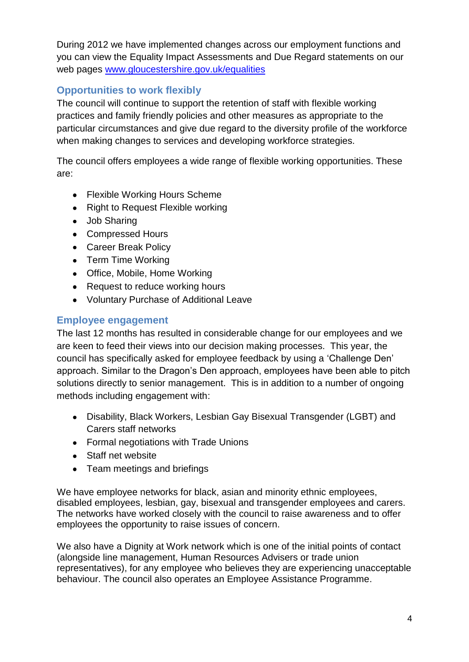During 2012 we have implemented changes across our employment functions and you can view the Equality Impact Assessments and Due Regard statements on our web pages [www.gloucestershire.gov.uk/equalities](http://www.gloucestershire.gov.uk/equalities)

## <span id="page-4-0"></span>**Opportunities to work flexibly**

The council will continue to support the retention of staff with flexible working practices and family friendly policies and other measures as appropriate to the particular circumstances and give due regard to the diversity profile of the workforce when making changes to services and developing workforce strategies.

The council offers employees a wide range of flexible working opportunities. These are:

- Flexible Working Hours Scheme
- Right to Request Flexible working
- Job Sharing
- Compressed Hours
- Career Break Policy
- Term Time Working
- Office, Mobile, Home Working
- Request to reduce working hours
- Voluntary Purchase of Additional Leave

## <span id="page-4-1"></span>**Employee engagement**

The last 12 months has resulted in considerable change for our employees and we are keen to feed their views into our decision making processes. This year, the council has specifically asked for employee feedback by using a 'Challenge Den' approach. Similar to the Dragon's Den approach, employees have been able to pitch solutions directly to senior management. This is in addition to a number of ongoing methods including engagement with:

- Disability, Black Workers, Lesbian Gay Bisexual Transgender (LGBT) and Carers staff networks
- Formal negotiations with Trade Unions
- Staff net website
- Team meetings and briefings

We have employee networks for black, asian and minority ethnic employees, disabled employees, lesbian, gay, bisexual and transgender employees and carers. The networks have worked closely with the council to raise awareness and to offer employees the opportunity to raise issues of concern.

We also have a Dignity at Work network which is one of the initial points of contact (alongside line management, Human Resources Advisers or trade union representatives), for any employee who believes they are experiencing unacceptable behaviour. The council also operates an Employee Assistance Programme.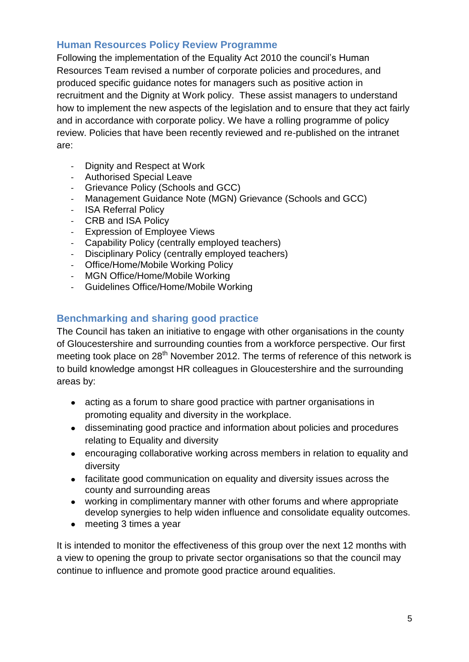## <span id="page-5-0"></span>**Human Resources Policy Review Programme**

Following the implementation of the Equality Act 2010 the council's Human Resources Team revised a number of corporate policies and procedures, and produced specific guidance notes for managers such as positive action in recruitment and the Dignity at Work policy. These assist managers to understand how to implement the new aspects of the legislation and to ensure that they act fairly and in accordance with corporate policy. We have a rolling programme of policy review. Policies that have been recently reviewed and re-published on the intranet are:

- Dignity and Respect at Work
- Authorised Special Leave
- Grievance Policy (Schools and GCC)
- Management Guidance Note (MGN) Grievance (Schools and GCC)
- **ISA Referral Policy**
- CRB and ISA Policy
- Expression of Employee Views
- Capability Policy (centrally employed teachers)
- Disciplinary Policy (centrally employed teachers)
- Office/Home/Mobile Working Policy
- MGN Office/Home/Mobile Working
- Guidelines Office/Home/Mobile Working

## <span id="page-5-1"></span>**Benchmarking and sharing good practice**

The Council has taken an initiative to engage with other organisations in the county of Gloucestershire and surrounding counties from a workforce perspective. Our first meeting took place on 28<sup>th</sup> November 2012. The terms of reference of this network is to build knowledge amongst HR colleagues in Gloucestershire and the surrounding areas by:

- acting as a forum to share good practice with partner organisations in promoting equality and diversity in the workplace.
- disseminating good practice and information about policies and procedures relating to Equality and diversity
- encouraging collaborative working across members in relation to equality and diversity
- facilitate good communication on equality and diversity issues across the county and surrounding areas
- working in complimentary manner with other forums and where appropriate develop synergies to help widen influence and consolidate equality outcomes.
- meeting 3 times a year

It is intended to monitor the effectiveness of this group over the next 12 months with a view to opening the group to private sector organisations so that the council may continue to influence and promote good practice around equalities.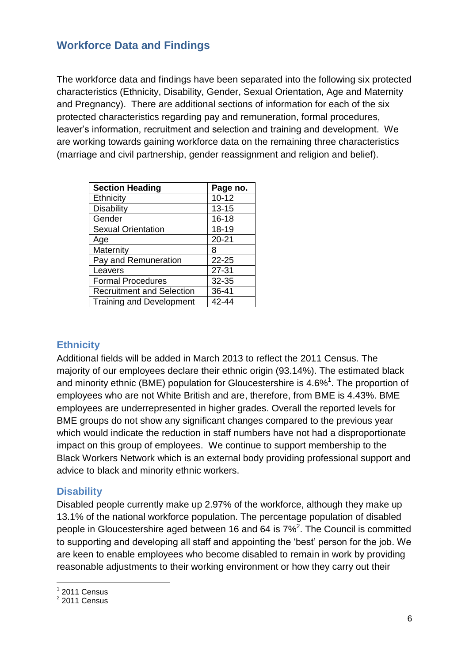## <span id="page-6-0"></span>**Workforce Data and Findings**

The workforce data and findings have been separated into the following six protected characteristics (Ethnicity, Disability, Gender, Sexual Orientation, Age and Maternity and Pregnancy). There are additional sections of information for each of the six protected characteristics regarding pay and remuneration, formal procedures, leaver's information, recruitment and selection and training and development. We are working towards gaining workforce data on the remaining three characteristics (marriage and civil partnership, gender reassignment and religion and belief).

| <b>Section Heading</b>           | Page no.  |
|----------------------------------|-----------|
| Ethnicity                        | $10 - 12$ |
| Disability                       | $13 - 15$ |
| Gender                           | $16 - 18$ |
| <b>Sexual Orientation</b>        | 18-19     |
| Age                              | $20 - 21$ |
| Maternity                        | 8         |
| Pay and Remuneration             | $22 - 25$ |
| Leavers                          | $27 - 31$ |
| <b>Formal Procedures</b>         | 32-35     |
| <b>Recruitment and Selection</b> | 36-41     |
| <b>Training and Development</b>  | 42-44     |

### <span id="page-6-1"></span>**Ethnicity**

Additional fields will be added in March 2013 to reflect the 2011 Census. The majority of our employees declare their ethnic origin (93.14%). The estimated black and minority ethnic (BME) population for Gloucestershire is 4.6%<sup>1</sup>. The proportion of employees who are not White British and are, therefore, from BME is 4.43%. BME employees are underrepresented in higher grades. Overall the reported levels for BME groups do not show any significant changes compared to the previous year which would indicate the reduction in staff numbers have not had a disproportionate impact on this group of employees. We continue to support membership to the Black Workers Network which is an external body providing professional support and advice to black and minority ethnic workers.

### <span id="page-6-2"></span>**Disability**

Disabled people currently make up 2.97% of the workforce, although they make up 13.1% of the national workforce population. The percentage population of disabled people in Gloucestershire aged between 16 and 64 is  $7\%^2$ . The Council is committed to supporting and developing all staff and appointing the 'best' person for the job. We are keen to enable employees who become disabled to remain in work by providing reasonable adjustments to their working environment or how they carry out their

 1 2011 Census 2 2011 Census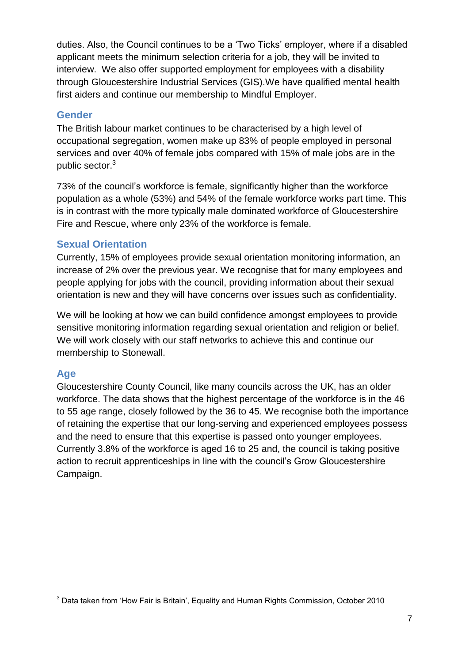duties. Also, the Council continues to be a 'Two Ticks' employer, where if a disabled applicant meets the minimum selection criteria for a job, they will be invited to interview. We also offer supported employment for employees with a disability through Gloucestershire Industrial Services (GIS).We have qualified mental health first aiders and continue our membership to Mindful Employer.

### <span id="page-7-0"></span>**Gender**

The British labour market continues to be characterised by a high level of occupational segregation, women make up 83% of people employed in personal services and over 40% of female jobs compared with 15% of male jobs are in the public sector.<sup>3</sup>

73% of the council's workforce is female, significantly higher than the workforce population as a whole (53%) and 54% of the female workforce works part time. This is in contrast with the more typically male dominated workforce of Gloucestershire Fire and Rescue, where only 23% of the workforce is female.

### <span id="page-7-1"></span>**Sexual Orientation**

Currently, 15% of employees provide sexual orientation monitoring information, an increase of 2% over the previous year. We recognise that for many employees and people applying for jobs with the council, providing information about their sexual orientation is new and they will have concerns over issues such as confidentiality.

We will be looking at how we can build confidence amongst employees to provide sensitive monitoring information regarding sexual orientation and religion or belief. We will work closely with our staff networks to achieve this and continue our membership to Stonewall.

### <span id="page-7-2"></span>**Age**

Gloucestershire County Council, like many councils across the UK, has an older workforce. The data shows that the highest percentage of the workforce is in the 46 to 55 age range, closely followed by the 36 to 45. We recognise both the importance of retaining the expertise that our long-serving and experienced employees possess and the need to ensure that this expertise is passed onto younger employees. Currently 3.8% of the workforce is aged 16 to 25 and, the council is taking positive action to recruit apprenticeships in line with the council's Grow Gloucestershire Campaign.

<sup>1</sup>  $3$  Data taken from 'How Fair is Britain', Equality and Human Rights Commission, October 2010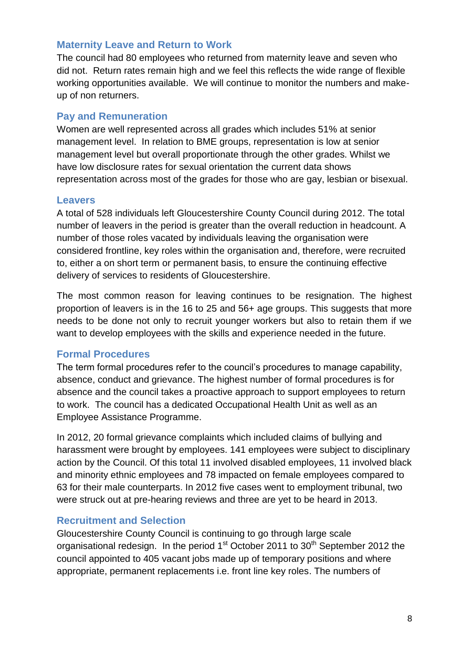#### <span id="page-8-0"></span>**Maternity Leave and Return to Work**

The council had 80 employees who returned from maternity leave and seven who did not. Return rates remain high and we feel this reflects the wide range of flexible working opportunities available. We will continue to monitor the numbers and makeup of non returners.

#### <span id="page-8-1"></span>**Pay and Remuneration**

Women are well represented across all grades which includes 51% at senior management level. In relation to BME groups, representation is low at senior management level but overall proportionate through the other grades. Whilst we have low disclosure rates for sexual orientation the current data shows representation across most of the grades for those who are gay, lesbian or bisexual.

#### <span id="page-8-2"></span>**Leavers**

A total of 528 individuals left Gloucestershire County Council during 2012. The total number of leavers in the period is greater than the overall reduction in headcount. A number of those roles vacated by individuals leaving the organisation were considered frontline, key roles within the organisation and, therefore, were recruited to, either a on short term or permanent basis, to ensure the continuing effective delivery of services to residents of Gloucestershire.

The most common reason for leaving continues to be resignation. The highest proportion of leavers is in the 16 to 25 and 56+ age groups. This suggests that more needs to be done not only to recruit younger workers but also to retain them if we want to develop employees with the skills and experience needed in the future.

#### <span id="page-8-3"></span>**Formal Procedures**

The term formal procedures refer to the council's procedures to manage capability, absence, conduct and grievance. The highest number of formal procedures is for absence and the council takes a proactive approach to support employees to return to work. The council has a dedicated Occupational Health Unit as well as an Employee Assistance Programme.

In 2012, 20 formal grievance complaints which included claims of bullying and harassment were brought by employees. 141 employees were subject to disciplinary action by the Council. Of this total 11 involved disabled employees, 11 involved black and minority ethnic employees and 78 impacted on female employees compared to 63 for their male counterparts. In 2012 five cases went to employment tribunal, two were struck out at pre-hearing reviews and three are yet to be heard in 2013.

### <span id="page-8-4"></span>**Recruitment and Selection**

Gloucestershire County Council is continuing to go through large scale organisational redesign. In the period  $1<sup>st</sup>$  October 2011 to  $30<sup>th</sup>$  September 2012 the council appointed to 405 vacant jobs made up of temporary positions and where appropriate, permanent replacements i.e. front line key roles. The numbers of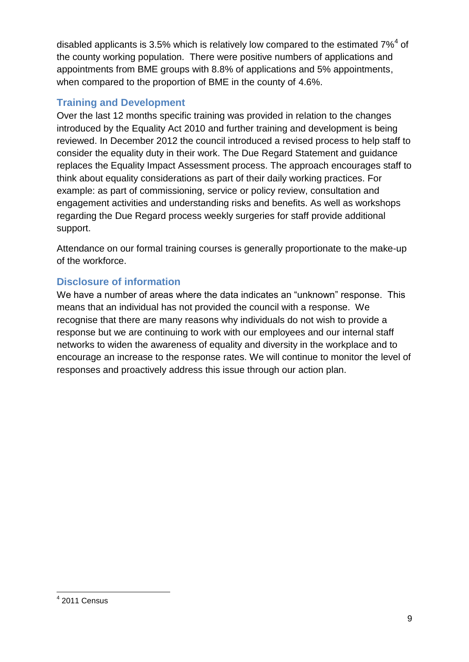disabled applicants is 3.5% which is relatively low compared to the estimated  $7\%$ <sup>4</sup> of the county working population. There were positive numbers of applications and appointments from BME groups with 8.8% of applications and 5% appointments, when compared to the proportion of BME in the county of 4.6%.

## <span id="page-9-0"></span>**Training and Development**

Over the last 12 months specific training was provided in relation to the changes introduced by the Equality Act 2010 and further training and development is being reviewed. In December 2012 the council introduced a revised process to help staff to consider the equality duty in their work. The Due Regard Statement and guidance replaces the Equality Impact Assessment process. The approach encourages staff to think about equality considerations as part of their daily working practices. For example: as part of commissioning, service or policy review, consultation and engagement activities and understanding risks and benefits. As well as workshops regarding the Due Regard process weekly surgeries for staff provide additional support.

Attendance on our formal training courses is generally proportionate to the make-up of the workforce.

## **Disclosure of information**

We have a number of areas where the data indicates an "unknown" response. This means that an individual has not provided the council with a response. We recognise that there are many reasons why individuals do not wish to provide a response but we are continuing to work with our employees and our internal staff networks to widen the awareness of equality and diversity in the workplace and to encourage an increase to the response rates. We will continue to monitor the level of responses and proactively address this issue through our action plan.

 4 2011 Census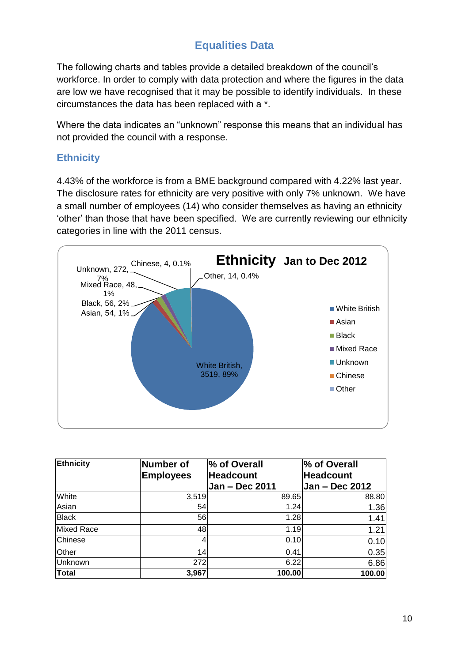# **Equalities Data**

The following charts and tables provide a detailed breakdown of the council's workforce. In order to comply with data protection and where the figures in the data are low we have recognised that it may be possible to identify individuals. In these circumstances the data has been replaced with a \*.

Where the data indicates an "unknown" response this means that an individual has not provided the council with a response.

## <span id="page-10-0"></span>**Ethnicity**

4.43% of the workforce is from a BME background compared with 4.22% last year. The disclosure rates for ethnicity are very positive with only 7% unknown. We have a small number of employees (14) who consider themselves as having an ethnicity 'other' than those that have been specified. We are currently reviewing our ethnicity categories in line with the 2011 census.



| Ethnicity         | Number of        | % of Overall     | % of Overall     |
|-------------------|------------------|------------------|------------------|
|                   | <b>Employees</b> | <b>Headcount</b> | <b>Headcount</b> |
|                   |                  | Jan - Dec 2011   | Jan - Dec 2012   |
| White             | 3,519            | 89.65            | 88.80            |
| Asian             | 54               | 1.24             | 1.36             |
| <b>Black</b>      | 56               | 1.28             | 1.41             |
| <b>Mixed Race</b> | 48               | 1.19             | 1.21             |
| Chinese           |                  | 0.10             | 0.10             |
| Other             | 14               | 0.41             | 0.35             |
| Unknown           | 272              | 6.22             | 6.86             |
| <b>Total</b>      | 3,967            | 100.00           | 100.00           |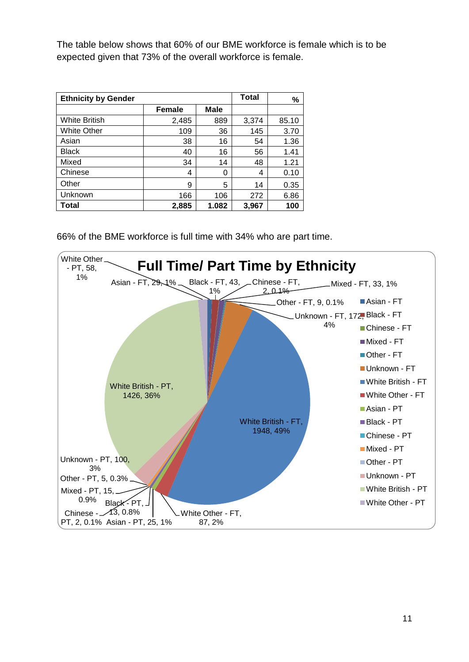The table below shows that 60% of our BME workforce is female which is to be expected given that 73% of the overall workforce is female.

| <b>Ethnicity by Gender</b> |               |             | <b>Total</b> | %     |
|----------------------------|---------------|-------------|--------------|-------|
|                            | <b>Female</b> | <b>Male</b> |              |       |
| <b>White British</b>       | 2,485         | 889         | 3,374        | 85.10 |
| <b>White Other</b>         | 109           | 36          | 145          | 3.70  |
| Asian                      | 38            | 16          | 54           | 1.36  |
| <b>Black</b>               | 40            | 16          | 56           | 1.41  |
| Mixed                      | 34            | 14          | 48           | 1.21  |
| Chinese                    | 4             | 0           | 4            | 0.10  |
| Other                      | 9             | 5           | 14           | 0.35  |
| Unknown                    | 166           | 106         | 272          | 6.86  |
| <b>Total</b>               | 2,885         | 1.082       | 3,967        | 100   |

66% of the BME workforce is full time with 34% who are part time.

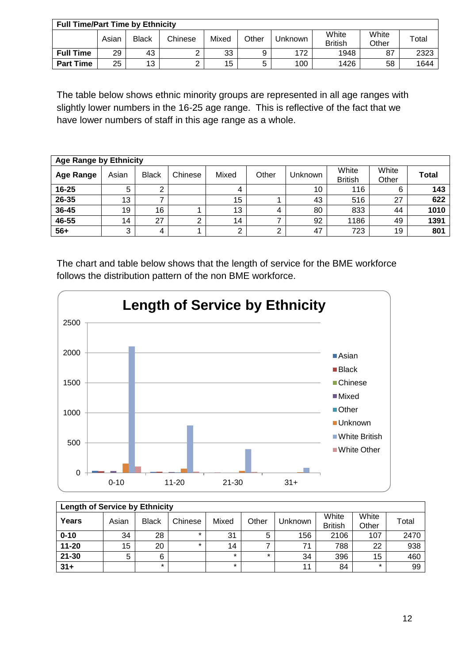| <b>Full Time/Part Time by Ethnicity</b> |       |              |         |       |       |         |                         |                |             |
|-----------------------------------------|-------|--------------|---------|-------|-------|---------|-------------------------|----------------|-------------|
|                                         | Asian | <b>Black</b> | Chinese | Mixed | Other | Jnknown | White<br><b>British</b> | White<br>Other | $\tau$ otal |
| <b>Full Time</b>                        | 29    | 43           |         | 33    | 9     | 172     | 1948                    | 87             | 2323        |
| <b>Part Time</b>                        | 25    | 13           |         | 15    | 5     | 100     | 1426                    | 58             | 1644        |

The table below shows ethnic minority groups are represented in all age ranges with slightly lower numbers in the 16-25 age range. This is reflective of the fact that we have lower numbers of staff in this age range as a whole.

| <b>Age Range by Ethnicity</b> |       |              |         |       |       |                |                         |                |       |
|-------------------------------|-------|--------------|---------|-------|-------|----------------|-------------------------|----------------|-------|
| <b>Age Range</b>              | Asian | <b>Black</b> | Chinese | Mixed | Other | <b>Unknown</b> | White<br><b>British</b> | White<br>Other | Total |
| 16-25                         | 5     | ⌒            |         |       |       | 10             | 116                     | 6              | 143   |
| 26-35                         | 13    |              |         | 15    |       | 43             | 516                     | 27             | 622   |
| 36-45                         | 19    | 16           |         | 13    |       | 80             | 833                     | 44             | 1010  |
| 46-55                         | 14    | 27           |         | 14    |       | 92             | 1186                    | 49             | 1391  |
| $56+$                         | 3     | 4            |         | ⌒     |       | 47             | 723                     | 19             | 801   |

The chart and table below shows that the length of service for the BME workforce follows the distribution pattern of the non BME workforce.



| <b>Length of Service by Ethnicity</b> |       |              |         |         |         |         |                         |                |       |
|---------------------------------------|-------|--------------|---------|---------|---------|---------|-------------------------|----------------|-------|
| Years                                 | Asian | <b>Black</b> | Chinese | Mixed   | Other   | Jnknown | White<br><b>British</b> | White<br>Other | Total |
| $0 - 10$                              | 34    | 28           | $\star$ | 31      | 5       | 156     | 2106                    | 107            | 2470  |
| $11 - 20$                             | 15    | 20           | $\star$ | 14      |         | 71      | 788                     | 22             | 938   |
| $21 - 30$                             | 5     | 6            |         | $\star$ | $\star$ | 34      | 396                     | 15             | 460   |
| $31 +$                                |       | ÷            |         | $\star$ |         | 11      | 84                      | $\star$        | 99    |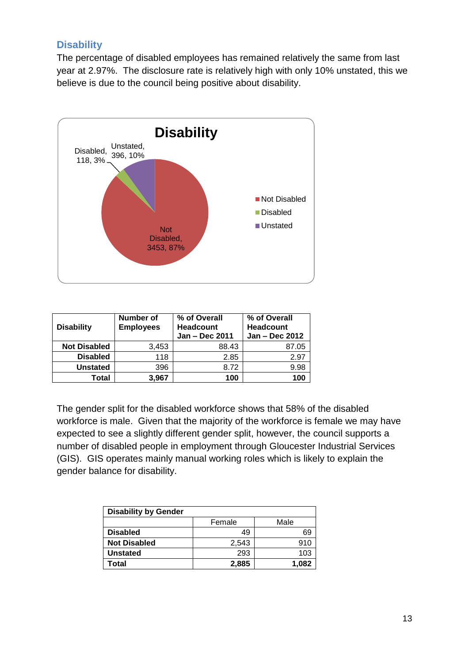## <span id="page-13-0"></span>**Disability**

The percentage of disabled employees has remained relatively the same from last year at 2.97%. The disclosure rate is relatively high with only 10% unstated, this we believe is due to the council being positive about disability.



| <b>Disability</b>   | Number of<br><b>Employees</b> | % of Overall<br><b>Headcount</b><br>Jan - Dec 2011 | % of Overall<br><b>Headcount</b><br>Jan - Dec 2012 |
|---------------------|-------------------------------|----------------------------------------------------|----------------------------------------------------|
| <b>Not Disabled</b> | 3,453                         | 88.43                                              | 87.05                                              |
| <b>Disabled</b>     | 118                           | 2.85                                               | 2.97                                               |
| <b>Unstated</b>     | 396                           | 8.72                                               | 9.98                                               |
| Total               | 3.967                         | 100                                                | 100                                                |

The gender split for the disabled workforce shows that 58% of the disabled workforce is male. Given that the majority of the workforce is female we may have expected to see a slightly different gender split, however, the council supports a number of disabled people in employment through Gloucester Industrial Services (GIS). GIS operates mainly manual working roles which is likely to explain the gender balance for disability.

| <b>Disability by Gender</b> |        |       |  |  |  |
|-----------------------------|--------|-------|--|--|--|
|                             | Female | Male  |  |  |  |
| <b>Disabled</b>             | 49     | 69    |  |  |  |
| <b>Not Disabled</b>         | 2,543  | 910   |  |  |  |
| <b>Unstated</b>             | 293    | 103   |  |  |  |
| Total                       | 2,885  | 1.082 |  |  |  |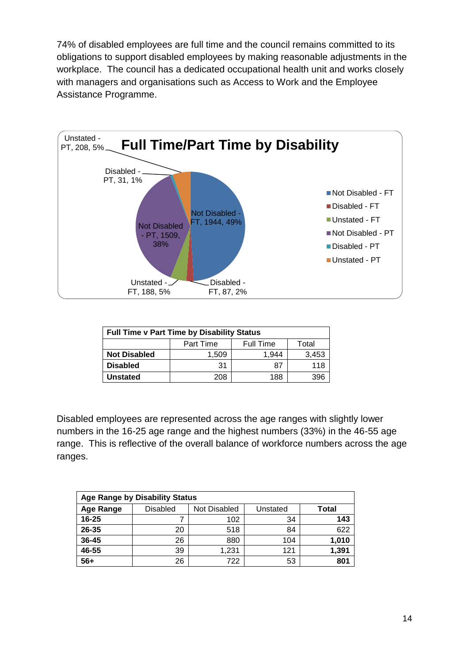74% of disabled employees are full time and the council remains committed to its obligations to support disabled employees by making reasonable adjustments in the workplace. The council has a dedicated occupational health unit and works closely with managers and organisations such as Access to Work and the Employee Assistance Programme.



| <b>Full Time v Part Time by Disability Status</b> |                                        |                |  |  |  |  |
|---------------------------------------------------|----------------------------------------|----------------|--|--|--|--|
|                                                   | Part Time<br><b>Full Time</b><br>Total |                |  |  |  |  |
| <b>Not Disabled</b>                               | 1,509                                  | 3,453<br>1.944 |  |  |  |  |
| <b>Disabled</b>                                   | 31                                     | 118<br>87      |  |  |  |  |
| <b>Unstated</b>                                   | 188<br>208                             |                |  |  |  |  |

Disabled employees are represented across the age ranges with slightly lower numbers in the 16-25 age range and the highest numbers (33%) in the 46-55 age range. This is reflective of the overall balance of workforce numbers across the age ranges.

| <b>Age Range by Disability Status</b> |                 |              |          |       |  |  |  |
|---------------------------------------|-----------------|--------------|----------|-------|--|--|--|
| Age Range                             | <b>Disabled</b> | Not Disabled | Unstated | Total |  |  |  |
| $16 - 25$                             |                 | 102          | 34       | 143   |  |  |  |
| 26-35                                 | 20              | 518          | 84       | 622   |  |  |  |
| 36-45                                 | 26              | 880          | 104      | 1,010 |  |  |  |
| 46-55                                 | 39              | 1,231        | 121      | 1,391 |  |  |  |
| $56+$                                 | 26              | 722          | 53       | 801   |  |  |  |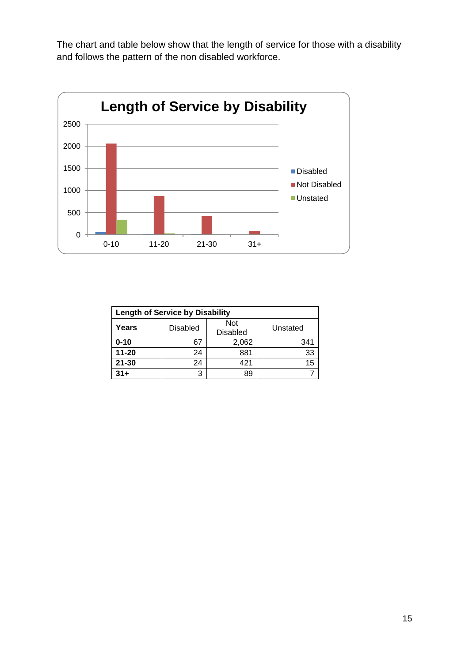The chart and table below show that the length of service for those with a disability and follows the pattern of the non disabled workforce.



| <b>Length of Service by Disability</b> |                 |                               |          |  |  |  |
|----------------------------------------|-----------------|-------------------------------|----------|--|--|--|
| Years                                  | <b>Disabled</b> | <b>Not</b><br><b>Disabled</b> | Unstated |  |  |  |
| $0 - 10$                               | 67              | 2,062                         | 341      |  |  |  |
| $11 - 20$                              | 24              | 881                           | 33       |  |  |  |
| $21 - 30$                              | 24              | 421                           | 15       |  |  |  |
| $31+$                                  | 3               |                               |          |  |  |  |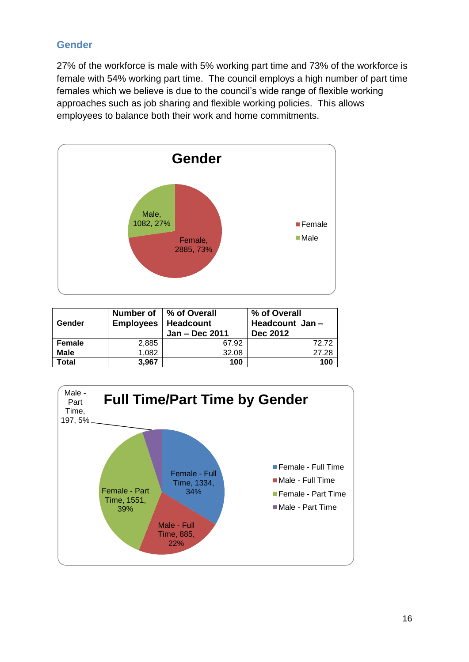## **Gender**

27% of the workforce is male with 5% working part time and 73% of the workforce is female with 54% working part time. The council employs a high number of part time females which we believe is due to the council's wide range of flexible working approaches such as job sharing and flexible working policies. This allows employees to balance both their work and home commitments.



| Gender        | <b>Employees</b> | Number of 1 % of Overall<br><b>Headcount</b><br>Jan - Dec 2011 | % of Overall<br>Headcount Jan-<br><b>Dec 2012</b> |
|---------------|------------------|----------------------------------------------------------------|---------------------------------------------------|
| <b>Female</b> | 2,885            | 67.92                                                          | 72 72                                             |
| <b>Male</b>   | 1,082            | 32.08                                                          | 27.28                                             |
| Total         | 3.967            | 100                                                            | 100                                               |

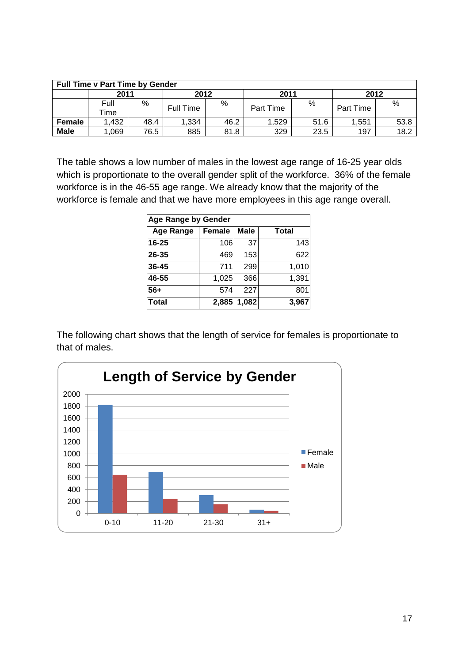| <b>Full Time v Part Time by Gender</b> |              |      |           |      |           |      |           |      |  |  |
|----------------------------------------|--------------|------|-----------|------|-----------|------|-----------|------|--|--|
|                                        | 2011         |      | 2012      |      | 2011      |      | 2012      |      |  |  |
|                                        | Full<br>Гіmе | %    | Full Time | %    | Part Time | %    | Part Time | %    |  |  |
| Female                                 | 1,432        | 48.4 | 1,334     | 46.2 | 1.529     | 51.6 | 1,551     | 53.8 |  |  |
| <b>Male</b>                            | 1,069        | 76.5 | 885       | 81.8 | 329       | 23.5 | 197       | 18.2 |  |  |

The table shows a low number of males in the lowest age range of 16-25 year olds which is proportionate to the overall gender split of the workforce. 36% of the female workforce is in the 46-55 age range. We already know that the majority of the workforce is female and that we have more employees in this age range overall.

| <b>Age Range by Gender</b> |               |             |              |  |  |  |  |  |  |
|----------------------------|---------------|-------------|--------------|--|--|--|--|--|--|
| <b>Age Range</b>           | <b>Female</b> | <b>Male</b> | <b>Total</b> |  |  |  |  |  |  |
| 16-25                      | 106           | 37          | 143          |  |  |  |  |  |  |
| 26-35                      | 469           | 153         | 622          |  |  |  |  |  |  |
| 36-45                      | 711           | 299         | 1,010        |  |  |  |  |  |  |
| 46-55                      | 1,025         | 366         | 1,391        |  |  |  |  |  |  |
| $56+$                      | 574           | 227         | 801          |  |  |  |  |  |  |
| <b>Total</b>               | 2,885         | 1,082       | 3,967        |  |  |  |  |  |  |

The following chart shows that the length of service for females is proportionate to that of males.

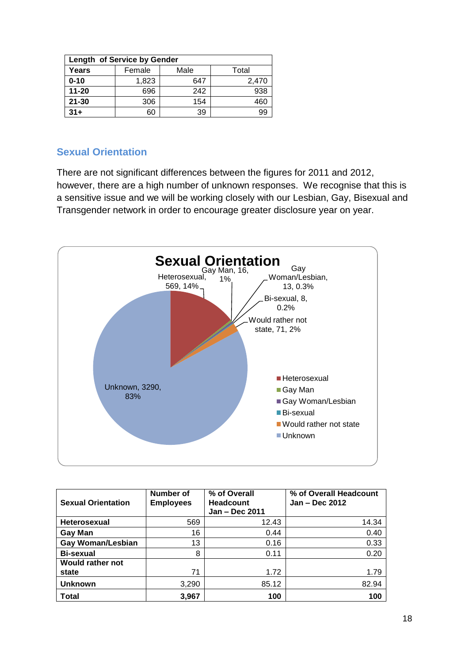| Length of Service by Gender |        |      |       |  |  |  |  |  |  |
|-----------------------------|--------|------|-------|--|--|--|--|--|--|
| Years                       | Female | Male |       |  |  |  |  |  |  |
| $0 - 10$                    | 1,823  | 647  | 2,470 |  |  |  |  |  |  |
| $11 - 20$                   | 696    | 242  | 938   |  |  |  |  |  |  |
| $21 - 30$                   | 306    | 154  | 460   |  |  |  |  |  |  |
| $31 +$                      | 60     | 39   | 99    |  |  |  |  |  |  |

### **Sexual Orientation**

There are not significant differences between the figures for 2011 and 2012, however, there are a high number of unknown responses. We recognise that this is a sensitive issue and we will be working closely with our Lesbian, Gay, Bisexual and Transgender network in order to encourage greater disclosure year on year.



| <b>Sexual Orientation</b> | Number of<br><b>Employees</b> | % of Overall<br><b>Headcount</b><br>Jan - Dec 2011 | % of Overall Headcount<br>Jan - Dec 2012 |
|---------------------------|-------------------------------|----------------------------------------------------|------------------------------------------|
| Heterosexual              | 569                           | 12.43                                              | 14.34                                    |
| <b>Gay Man</b>            | 16                            | 0.44                                               | 0.40                                     |
| <b>Gay Woman/Lesbian</b>  | 13                            | 0.16                                               | 0.33                                     |
| <b>Bi-sexual</b>          | 8                             | 0.11                                               | 0.20                                     |
| <b>Would rather not</b>   |                               |                                                    |                                          |
| state                     | 71                            | 1.72                                               | 1.79                                     |
| <b>Unknown</b>            | 3,290                         | 85.12                                              | 82.94                                    |
| Total                     | 3,967                         | 100                                                | 100                                      |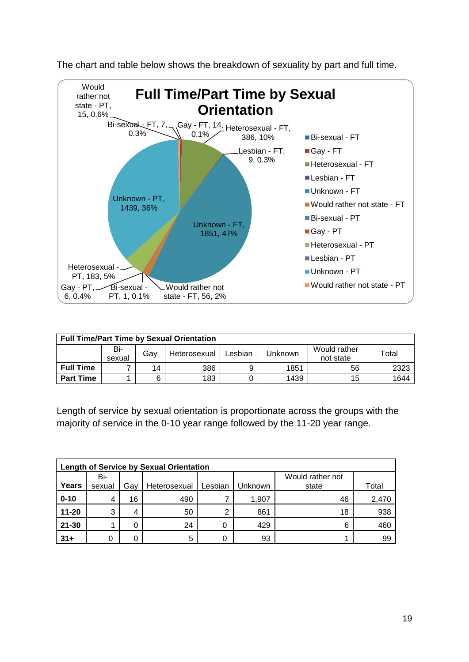

The chart and table below shows the breakdown of sexuality by part and full time.

| <b>Full Time/Part Time by Sexual Orientation</b> |                                                                                                  |    |     |   |      |    |      |  |  |  |  |
|--------------------------------------------------|--------------------------------------------------------------------------------------------------|----|-----|---|------|----|------|--|--|--|--|
|                                                  | Bi-<br>Would rather<br>Total<br>Gav<br>Lesbian<br>Unknown<br>Heterosexual<br>not state<br>sexual |    |     |   |      |    |      |  |  |  |  |
| <b>Full Time</b>                                 |                                                                                                  | 14 | 386 | 9 | 1851 | 56 | 2323 |  |  |  |  |
| <b>Part Time</b>                                 |                                                                                                  |    | 183 |   | 1439 | 15 | 1644 |  |  |  |  |

Length of service by sexual orientation is proportionate across the groups with the majority of service in the 0-10 year range followed by the 11-20 year range.

|           | <b>Length of Service by Sexual Orientation</b> |     |              |         |         |                           |       |  |  |  |  |  |  |
|-----------|------------------------------------------------|-----|--------------|---------|---------|---------------------------|-------|--|--|--|--|--|--|
| Years     | Bi-<br>sexual                                  | Gav | Heterosexual | Lesbian | Jnknown | Would rather not<br>state | Total |  |  |  |  |  |  |
| $0 - 10$  | 4                                              | 16  | 490          |         | 1,907   | 46                        | 2,470 |  |  |  |  |  |  |
| $11 - 20$ | 3                                              |     | 50           | ົ       | 861     | 18                        | 938   |  |  |  |  |  |  |
| $21 - 30$ |                                                |     | 24           |         | 429     | 6                         | 460   |  |  |  |  |  |  |
| $31 +$    |                                                |     | 5            |         | 93      |                           | 99    |  |  |  |  |  |  |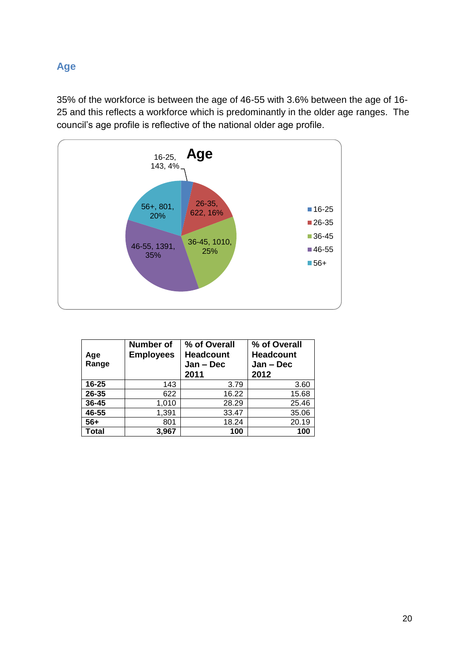## <span id="page-20-0"></span>**Age**

35% of the workforce is between the age of 46-55 with 3.6% between the age of 16- 25 and this reflects a workforce which is predominantly in the older age ranges. The council's age profile is reflective of the national older age profile.



| Age<br>Range | <b>Number of</b><br><b>Employees</b> | % of Overall<br><b>Headcount</b><br>$Jan - Dec$<br>2011 | % of Overall<br><b>Headcount</b><br>$Jan - Dec$<br>2012 |
|--------------|--------------------------------------|---------------------------------------------------------|---------------------------------------------------------|
| $16 - 25$    | 143                                  | 3.79                                                    | 3.60                                                    |
| 26-35        | 622                                  | 16.22                                                   | 15.68                                                   |
| 36-45        | 1,010                                | 28.29                                                   | 25.46                                                   |
| 46-55        | 1,391                                | 33.47                                                   | 35.06                                                   |
| $56+$        | 801                                  | 18.24                                                   | 20.19                                                   |
| <b>Total</b> | 3,967                                | 100                                                     | 100                                                     |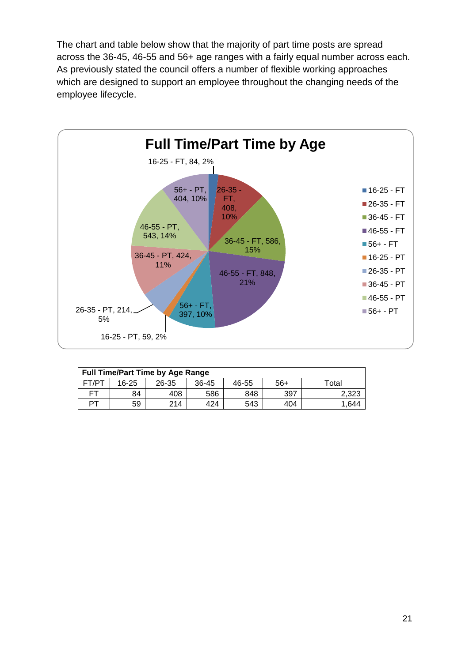The chart and table below show that the majority of part time posts are spread across the 36-45, 46-55 and 56+ age ranges with a fairly equal number across each. As previously stated the council offers a number of flexible working approaches which are designed to support an employee throughout the changing needs of the employee lifecycle.



| <b>Full Time/Part Time by Age Range</b> |           |       |         |       |       |       |  |  |  |  |
|-----------------------------------------|-----------|-------|---------|-------|-------|-------|--|--|--|--|
| FT/PT                                   | $16 - 25$ | 26-35 | $36-45$ | 46-55 | $56+$ | Total |  |  |  |  |
| FТ                                      | 84        | 408   | 586     | 848   | 397   | 2,323 |  |  |  |  |
| ÞТ                                      | 59        | 214   | 424     | 543   | 404   | 1.644 |  |  |  |  |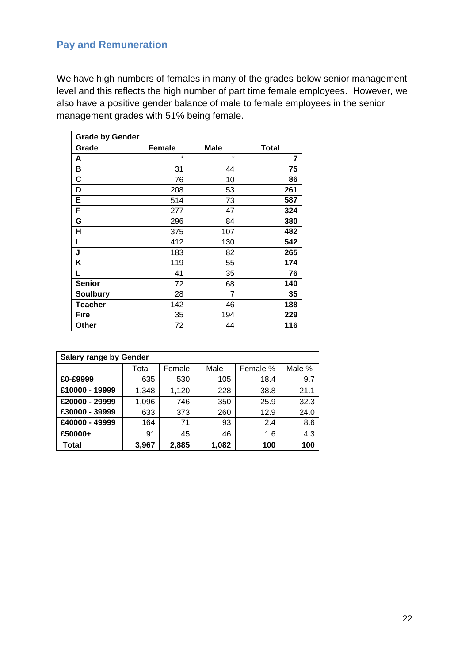## <span id="page-22-0"></span>**Pay and Remuneration**

We have high numbers of females in many of the grades below senior management level and this reflects the high number of part time female employees. However, we also have a positive gender balance of male to female employees in the senior management grades with 51% being female.

| <b>Grade by Gender</b> |               |             |              |  |  |  |  |  |  |
|------------------------|---------------|-------------|--------------|--|--|--|--|--|--|
| Grade                  | <b>Female</b> | <b>Male</b> | <b>Total</b> |  |  |  |  |  |  |
| A                      | $\star$       | $\star$     | 7            |  |  |  |  |  |  |
| B                      | 31            | 44          | 75           |  |  |  |  |  |  |
| C                      | 76            | 10          | 86           |  |  |  |  |  |  |
| D                      | 208           | 53          | 261          |  |  |  |  |  |  |
| E                      | 514           | 73          | 587          |  |  |  |  |  |  |
| F                      | 277           | 47          | 324          |  |  |  |  |  |  |
| G                      | 296           | 84          | 380          |  |  |  |  |  |  |
| Н                      | 375           | 107         | 482          |  |  |  |  |  |  |
| ı                      | 412           | 130         | 542          |  |  |  |  |  |  |
| J                      | 183           | 82          | 265          |  |  |  |  |  |  |
| Κ                      | 119           | 55          | 174          |  |  |  |  |  |  |
| L                      | 41            | 35          | 76           |  |  |  |  |  |  |
| <b>Senior</b>          | 72            | 68          | 140          |  |  |  |  |  |  |
| <b>Soulbury</b>        | 28            | 7           | 35           |  |  |  |  |  |  |
| <b>Teacher</b>         | 142           | 46          | 188          |  |  |  |  |  |  |
| <b>Fire</b>            | 35            | 194         | 229          |  |  |  |  |  |  |
| Other                  | 72            | 44          | 116          |  |  |  |  |  |  |

| <b>Salary range by Gender</b> |       |        |       |          |        |  |  |  |  |
|-------------------------------|-------|--------|-------|----------|--------|--|--|--|--|
|                               | Total | Female | Male  | Female % | Male % |  |  |  |  |
| £0-£9999                      | 635   | 530    | 105   | 18.4     | 9.7    |  |  |  |  |
| £10000 - 19999                | 1,348 | 1,120  | 228   | 38.8     | 21.1   |  |  |  |  |
| £20000 - 29999                | 1,096 | 746    | 350   | 25.9     | 32.3   |  |  |  |  |
| £30000 - 39999                | 633   | 373    | 260   | 12.9     | 24.0   |  |  |  |  |
| £40000 - 49999                | 164   | 71     | 93    | 2.4      | 8.6    |  |  |  |  |
| £50000+                       | 91    | 45     | 46    | 1.6      | 4.3    |  |  |  |  |
| Total                         | 3,967 | 2,885  | 1,082 | 100      | 100    |  |  |  |  |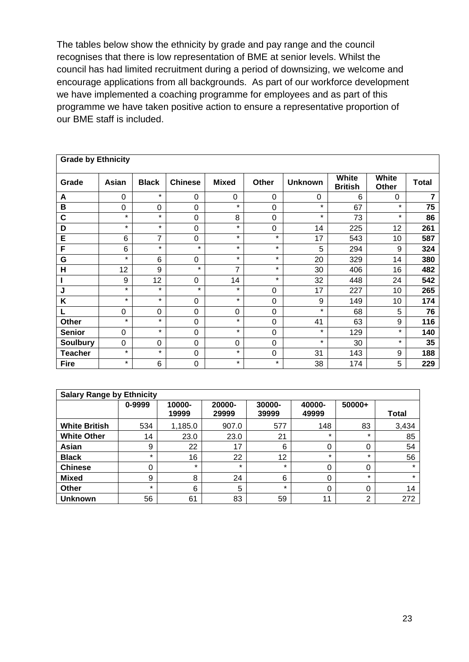The tables below show the ethnicity by grade and pay range and the council recognises that there is low representation of BME at senior levels. Whilst the council has had limited recruitment during a period of downsizing, we welcome and encourage applications from all backgrounds. As part of our workforce development we have implemented a coaching programme for employees and as part of this programme we have taken positive action to ensure a representative proportion of our BME staff is included.

| <b>Grade by Ethnicity</b> |         |              |                |              |             |                |                         |                       |              |  |  |  |
|---------------------------|---------|--------------|----------------|--------------|-------------|----------------|-------------------------|-----------------------|--------------|--|--|--|
| Grade                     | Asian   | <b>Black</b> | <b>Chinese</b> | <b>Mixed</b> | Other       | <b>Unknown</b> | White<br><b>British</b> | White<br><b>Other</b> | <b>Total</b> |  |  |  |
| A                         | 0       | $\star$      | $\Omega$       | 0            | 0           | $\Omega$       | 6                       | $\Omega$              | 7            |  |  |  |
| B                         | 0       | 0            | $\Omega$       | $\star$      | $\Omega$    | $\star$        | 67                      | $\star$               | 75           |  |  |  |
| C                         | $\star$ | $\star$      | $\overline{0}$ | 8            | $\mathbf 0$ | $\star$        | 73                      | $\star$               | 86           |  |  |  |
| D                         | $\star$ | $\star$      | $\overline{0}$ | $\star$      | $\mathbf 0$ | 14             | 225                     | 12                    | 261          |  |  |  |
| Е                         | 6       | 7            | $\mathbf 0$    | $\star$      | $\star$     | 17             | 543                     | 10                    | 587          |  |  |  |
| F                         | 6       | $\star$      | $\star$        | $\star$      | $\star$     | 5              | 294                     | 9                     | 324          |  |  |  |
| G                         | $\star$ | 6            | $\Omega$       | $\star$      | $\star$     | 20             | 329                     | 14                    | 380          |  |  |  |
| H                         | 12      | 9            | $\star$        | 7            | $\star$     | 30             | 406                     | 16                    | 482          |  |  |  |
|                           | 9       | 12           | $\mathbf 0$    | 14           | $\star$     | 32             | 448                     | 24                    | 542          |  |  |  |
| J                         | $\star$ | $\star$      | $\star$        | $\star$      | 0           | 17             | 227                     | 10                    | 265          |  |  |  |
| Κ                         | $\star$ | $\star$      | $\mathbf 0$    | $\star$      | 0           | 9              | 149                     | 10                    | 174          |  |  |  |
|                           | 0       | 0            | $\Omega$       | 0            | 0           | $\star$        | 68                      | 5                     | 76           |  |  |  |
| <b>Other</b>              | $\star$ | $\star$      | $\mathbf 0$    | $\star$      | $\mathbf 0$ | 41             | 63                      | 9                     | 116          |  |  |  |
| <b>Senior</b>             | 0       | $\star$      | $\overline{0}$ | $\star$      | $\mathbf 0$ | $\star$        | 129                     | $\star$               | 140          |  |  |  |
| <b>Soulbury</b>           | 0       | 0            | $\Omega$       | 0            | 0           | $\star$        | 30                      | $\star$               | 35           |  |  |  |
| <b>Teacher</b>            | $\star$ | $\star$      | $\mathbf 0$    | $\star$      | 0           | 31             | 143                     | 9                     | 188          |  |  |  |
| <b>Fire</b>               | $\star$ | 6            | $\Omega$       | $\star$      | $\star$     | 38             | 174                     | 5                     | 229          |  |  |  |

| <b>Salary Range by Ethnicity</b> |         |                 |                 |                 |                 |                |         |  |  |  |  |
|----------------------------------|---------|-----------------|-----------------|-----------------|-----------------|----------------|---------|--|--|--|--|
|                                  | 0-9999  | 10000-<br>19999 | 20000-<br>29999 | 30000-<br>39999 | 40000-<br>49999 | 50000+         | Total   |  |  |  |  |
| <b>White British</b>             | 534     | 1,185.0         | 907.0           | 577             | 148             | 83             | 3,434   |  |  |  |  |
| <b>White Other</b>               | 14      | 23.0            | 23.0            | 21              | $\star$         | $\star$        | 85      |  |  |  |  |
| Asian                            | 9       | 22              | 17              | 6               | 0               | 0              | 54      |  |  |  |  |
| <b>Black</b>                     | $\star$ | 16              | 22              | 12              | $\star$         | $\star$        | 56      |  |  |  |  |
| <b>Chinese</b>                   | 0       | $\star$         | $\star$         | $\star$         | 0               | 0              | $\star$ |  |  |  |  |
| <b>Mixed</b>                     | 9       | 8               | 24              | 6               | 0               | $\star$        | $\star$ |  |  |  |  |
| <b>Other</b>                     | $\star$ | 6               | 5               | $\star$         | 0               | 0              | 14      |  |  |  |  |
| <b>Unknown</b>                   | 56      | 61              | 83              | 59              | 11              | $\overline{2}$ | 272     |  |  |  |  |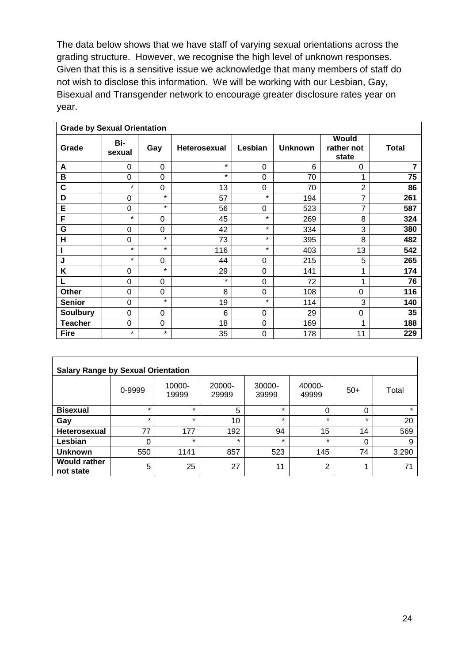The data below shows that we have staff of varying sexual orientations across the grading structure. However, we recognise the high level of unknown responses. Given that this is a sensitive issue we acknowledge that many members of staff do not wish to disclose this information. We will be working with our Lesbian, Gay, Bisexual and Transgender network to encourage greater disclosure rates year on year.

| <b>Grade by Sexual Orientation</b> |                |             |                     |                |                |                              |              |  |  |  |
|------------------------------------|----------------|-------------|---------------------|----------------|----------------|------------------------------|--------------|--|--|--|
| Grade                              | Bi-<br>sexual  | Gay         | <b>Heterosexual</b> | Lesbian        | <b>Unknown</b> | Would<br>rather not<br>state | <b>Total</b> |  |  |  |
| A                                  | 0              | 0           | $\star$             | 0              | 6              | 0                            | 7            |  |  |  |
| B                                  | $\Omega$       | $\Omega$    | $\star$             | $\mathbf 0$    | 70             |                              | 75           |  |  |  |
| C                                  | $\star$        | $\Omega$    | 13                  | $\mathbf 0$    | 70             | $\overline{2}$               | 86           |  |  |  |
| D                                  | $\mathbf 0$    | $\star$     | 57                  | $\star$        | 194            | 7                            | 261          |  |  |  |
| E                                  | $\overline{0}$ | $\star$     | 56                  | 0              | 523            | $\overline{7}$               | 587          |  |  |  |
| F                                  | $\star$        | $\mathbf 0$ | 45                  | $\star$        | 269            | 8                            | 324          |  |  |  |
| G                                  | $\overline{0}$ | 0           | 42                  | $\star$        | 334            | 3                            | 380          |  |  |  |
| H                                  | 0              | $\star$     | 73                  | $\star$        | 395            | 8                            | 482          |  |  |  |
|                                    | $\star$        | $\star$     | 116                 | $\star$        | 403            | 13                           | 542          |  |  |  |
| J                                  | $\star$        | 0           | 44                  | 0              | 215            | 5                            | 265          |  |  |  |
| Κ                                  | 0              | $\star$     | 29                  | 0              | 141            |                              | 174          |  |  |  |
| L                                  | $\Omega$       | $\Omega$    | $\star$             | $\overline{0}$ | 72             |                              | 76           |  |  |  |
| <b>Other</b>                       | $\Omega$       | $\Omega$    | 8                   | $\mathbf 0$    | 108            | 0                            | 116          |  |  |  |
| <b>Senior</b>                      | $\overline{0}$ | $\star$     | 19                  | $\star$        | 114            | 3                            | 140          |  |  |  |
| <b>Soulbury</b>                    | 0              | 0           | 6                   | 0              | 29             | 0                            | 35           |  |  |  |
| <b>Teacher</b>                     | 0              | $\mathbf 0$ | 18                  | 0              | 169            | 1                            | 188          |  |  |  |
| <b>Fire</b>                        | $\star$        | $\star$     | 35                  | $\mathbf 0$    | 178            | 11                           | 229          |  |  |  |

| <b>Salary Range by Sexual Orientation</b> |         |                 |                 |                 |                 |         |         |  |  |  |  |
|-------------------------------------------|---------|-----------------|-----------------|-----------------|-----------------|---------|---------|--|--|--|--|
|                                           | 0-9999  | 10000-<br>19999 | 20000-<br>29999 | 30000-<br>39999 | 40000-<br>49999 | $50+$   | Total   |  |  |  |  |
| <b>Bisexual</b>                           | $\star$ | $\star$         | 5               | $\star$         | 0               | 0       | $\star$ |  |  |  |  |
| Gay                                       | $\star$ | $\star$         | 10              | $\star$         | $\star$         | $\star$ | 20      |  |  |  |  |
| <b>Heterosexual</b>                       | 77      | 177             | 192             | 94              | 15              | 14      | 569     |  |  |  |  |
| Lesbian                                   | 0       | $\star$         | $\star$         | $\star$         | $\star$         | 0       | 9       |  |  |  |  |
| <b>Unknown</b>                            | 550     | 1141            | 857             | 523             | 145             | 74      | 3,290   |  |  |  |  |
| <b>Would rather</b><br>not state          | 5       | 25              | 27              | 11              | 2               | ٠       | 71      |  |  |  |  |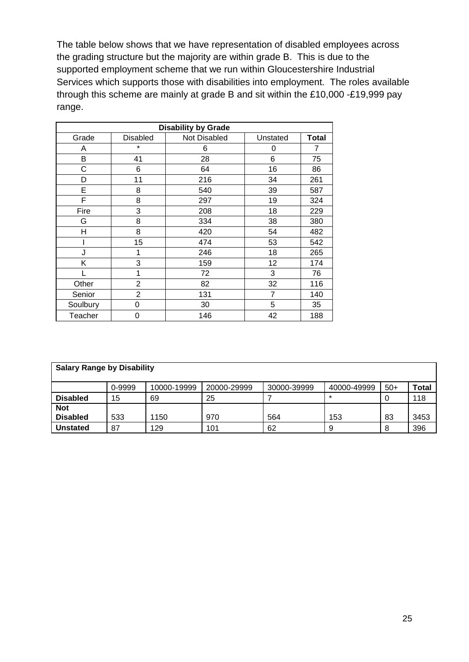The table below shows that we have representation of disabled employees across the grading structure but the majority are within grade B. This is due to the supported employment scheme that we run within Gloucestershire Industrial Services which supports those with disabilities into employment. The roles available through this scheme are mainly at grade B and sit within the £10,000 -£19,999 pay range.

| <b>Disability by Grade</b> |                |              |          |              |  |  |  |  |  |  |
|----------------------------|----------------|--------------|----------|--------------|--|--|--|--|--|--|
| Grade                      | Disabled       | Not Disabled | Unstated | <b>Total</b> |  |  |  |  |  |  |
| A                          | ¥              | 6            | 0        | 7            |  |  |  |  |  |  |
| В                          | 41             | 28           | 6        | 75           |  |  |  |  |  |  |
| C                          | 6              | 64           | 16       | 86           |  |  |  |  |  |  |
| D                          | 11             | 216          | 34       | 261          |  |  |  |  |  |  |
| Е                          | 8              | 540          | 39       | 587          |  |  |  |  |  |  |
| F                          | 8              | 297          | 19       | 324          |  |  |  |  |  |  |
| Fire                       | 3              | 208          | 18       | 229          |  |  |  |  |  |  |
| G                          | 8              | 334          | 38       | 380          |  |  |  |  |  |  |
| Η                          | 8              | 420          | 54       | 482          |  |  |  |  |  |  |
|                            | 15             | 474          | 53       | 542          |  |  |  |  |  |  |
| J                          | 1              | 246          | 18       | 265          |  |  |  |  |  |  |
| Κ                          | 3              | 159          | 12       | 174          |  |  |  |  |  |  |
|                            | 1              | 72           | 3        | 76           |  |  |  |  |  |  |
| Other                      | $\overline{2}$ | 82           | 32       | 116          |  |  |  |  |  |  |
| Senior                     | 2              | 131          | 7        | 140          |  |  |  |  |  |  |
| Soulbury                   | 0              | 30           | 5        | 35           |  |  |  |  |  |  |
| Teacher                    | 0              | 146          | 42       | 188          |  |  |  |  |  |  |

| <b>Salary Range by Disability</b> |        |             |             |             |             |       |       |  |  |  |
|-----------------------------------|--------|-------------|-------------|-------------|-------------|-------|-------|--|--|--|
|                                   | 0-9999 | 10000-19999 | 20000-29999 | 30000-39999 | 40000-49999 | $50+$ | Total |  |  |  |
| <b>Disabled</b>                   | 15     | 69          | 25          |             | $\star$     | 0     | 118   |  |  |  |
| <b>Not</b><br><b>Disabled</b>     | 533    | 1150        | 970         | 564         | 153         | 83    | 3453  |  |  |  |
| <b>Unstated</b>                   | 87     | 129         | 101         | 62          | 9           | 8     | 396   |  |  |  |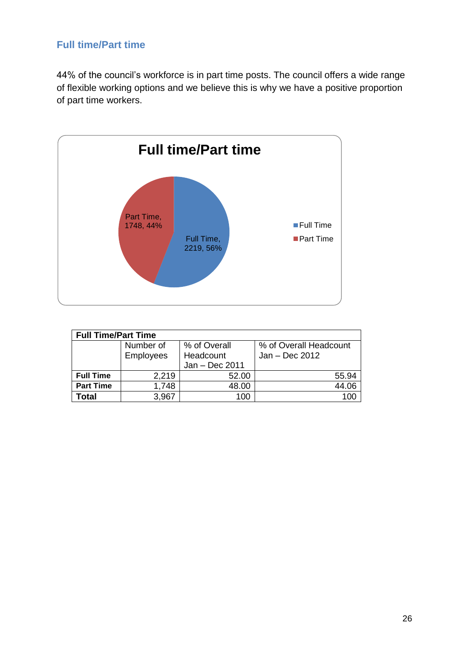## <span id="page-26-0"></span>**Full time/Part time**

44% of the council's workforce is in part time posts. The council offers a wide range of flexible working options and we believe this is why we have a positive proportion of part time workers.



| <b>Full Time/Part Time</b> |                  |                |                        |  |  |  |  |  |  |
|----------------------------|------------------|----------------|------------------------|--|--|--|--|--|--|
|                            | Number of        | % of Overall   | % of Overall Headcount |  |  |  |  |  |  |
|                            | <b>Employees</b> | Headcount      | $Jan - Dec 2012$       |  |  |  |  |  |  |
|                            |                  | Jan - Dec 2011 |                        |  |  |  |  |  |  |
| <b>Full Time</b>           | 2,219            | 52.00          | 55.94                  |  |  |  |  |  |  |
| <b>Part Time</b>           | 1,748            | 48.00          | 44.06                  |  |  |  |  |  |  |
| Total                      | 3,967            | 100            |                        |  |  |  |  |  |  |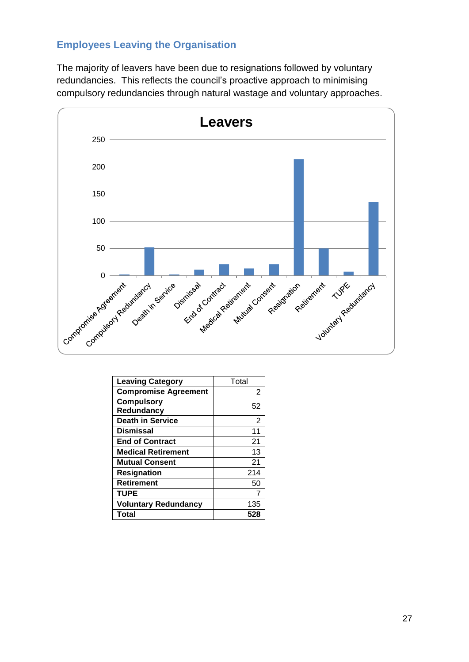## <span id="page-27-0"></span>**Employees Leaving the Organisation**

The majority of leavers have been due to resignations followed by voluntary redundancies. This reflects the council's proactive approach to minimising compulsory redundancies through natural wastage and voluntary approaches.



| <b>Leaving Category</b>     | Total |
|-----------------------------|-------|
| <b>Compromise Agreement</b> | 2     |
| <b>Compulsory</b>           | 52    |
| Redundancy                  |       |
| <b>Death in Service</b>     | 2     |
| <b>Dismissal</b>            | 11    |
| <b>End of Contract</b>      | 21    |
| <b>Medical Retirement</b>   | 13    |
| <b>Mutual Consent</b>       | 21    |
| <b>Resignation</b>          | 214   |
| <b>Retirement</b>           | 50    |
| <b>TUPE</b>                 |       |
| <b>Voluntary Redundancy</b> | 135   |
| Total                       | 528   |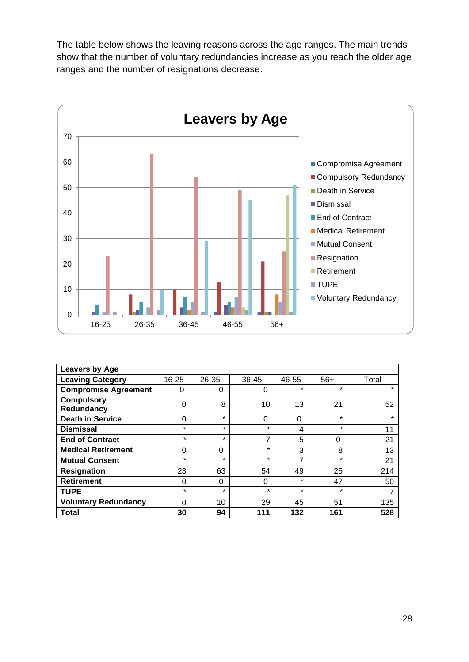The table below shows the leaving reasons across the age ranges. The main trends show that the number of voluntary redundancies increase as you reach the older age ranges and the number of resignations decrease.



| <b>Leavers by Age</b>       |           |          |          |          |          |         |  |  |  |
|-----------------------------|-----------|----------|----------|----------|----------|---------|--|--|--|
| <b>Leaving Category</b>     | $16 - 25$ | 26-35    | 36-45    | 46-55    | $56+$    | Total   |  |  |  |
| <b>Compromise Agreement</b> | 0         | 0        | 0        | $\star$  | $\star$  | $\star$ |  |  |  |
| <b>Compulsory</b>           | $\Omega$  | 8        | 10       | 13       | 21       | 52      |  |  |  |
| Redundancy                  |           |          |          |          |          |         |  |  |  |
| <b>Death in Service</b>     | $\Omega$  | $\star$  | $\Omega$ | $\Omega$ | $\star$  | $\star$ |  |  |  |
| <b>Dismissal</b>            | $\star$   | $\star$  | $\star$  | 4        | $\star$  | 11      |  |  |  |
| <b>End of Contract</b>      | $\star$   | $\star$  | 7        | 5        | $\Omega$ | 21      |  |  |  |
| <b>Medical Retirement</b>   | $\Omega$  | $\Omega$ | $\star$  | 3        | 8        | 13      |  |  |  |
| <b>Mutual Consent</b>       | $\star$   | $\star$  | $\star$  | ⇁        | $\star$  | 21      |  |  |  |
| <b>Resignation</b>          | 23        | 63       | 54       | 49       | 25       | 214     |  |  |  |
| <b>Retirement</b>           | $\Omega$  | $\Omega$ | 0        | $\star$  | 47       | 50      |  |  |  |
| <b>TUPE</b>                 | $\star$   | $\star$  | $\star$  | $\star$  | $\star$  | 7       |  |  |  |
| <b>Voluntary Redundancy</b> | $\Omega$  | 10       | 29       | 45       | 51       | 135     |  |  |  |
| Total                       | 30        | 94       | 111      | 132      | 161      | 528     |  |  |  |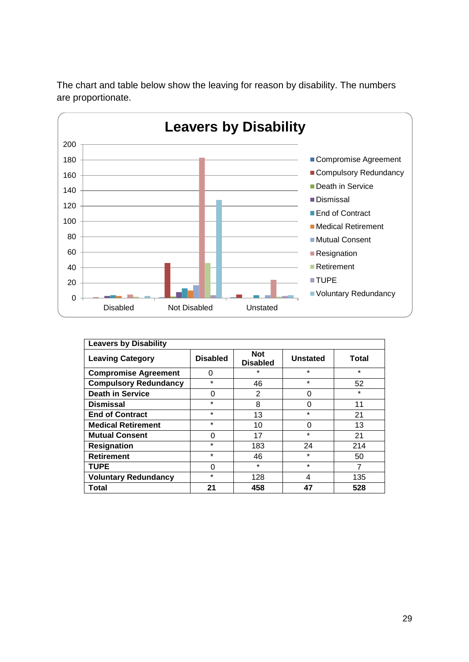

The chart and table below show the leaving for reason by disability. The numbers are proportionate.

| <b>Leavers by Disability</b> |                 |                               |                 |         |  |  |  |  |  |
|------------------------------|-----------------|-------------------------------|-----------------|---------|--|--|--|--|--|
| <b>Leaving Category</b>      | <b>Disabled</b> | <b>Not</b><br><b>Disabled</b> | <b>Unstated</b> | Total   |  |  |  |  |  |
| <b>Compromise Agreement</b>  | 0               | $\star$                       | $\star$         | $\star$ |  |  |  |  |  |
| <b>Compulsory Redundancy</b> | $\star$         | 46                            | $\star$         | 52      |  |  |  |  |  |
| <b>Death in Service</b>      | 0               | $\overline{2}$                | 0               | $\star$ |  |  |  |  |  |
| <b>Dismissal</b>             | $\star$         | 8                             | 0               | 11      |  |  |  |  |  |
| <b>End of Contract</b>       | $\star$         | 13                            | $\star$         | 21      |  |  |  |  |  |
| <b>Medical Retirement</b>    | $\star$         | 10                            | 0               | 13      |  |  |  |  |  |
| <b>Mutual Consent</b>        | 0               | 17                            | $\star$         | 21      |  |  |  |  |  |
| <b>Resignation</b>           | $\star$         | 183                           | 24              | 214     |  |  |  |  |  |
| <b>Retirement</b>            | $\star$         | 46                            | $\star$         | 50      |  |  |  |  |  |
| <b>TUPE</b>                  | 0               | $\star$                       | $\star$         | 7       |  |  |  |  |  |
| <b>Voluntary Redundancy</b>  | $\star$         | 128                           | 4               | 135     |  |  |  |  |  |
| Total                        | 21              | 458                           | 47              | 528     |  |  |  |  |  |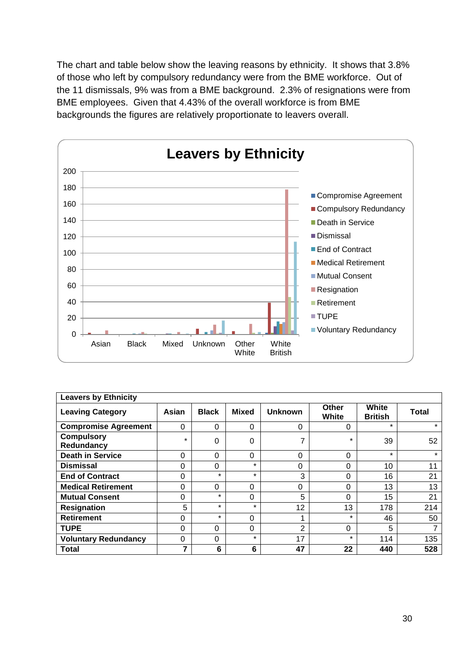The chart and table below show the leaving reasons by ethnicity. It shows that 3.8% of those who left by compulsory redundancy were from the BME workforce. Out of the 11 dismissals, 9% was from a BME background. 2.3% of resignations were from BME employees. Given that 4.43% of the overall workforce is from BME backgrounds the figures are relatively proportionate to leavers overall.



| <b>Leavers by Ethnicity</b>     |          |              |              |                |                |                         |              |  |
|---------------------------------|----------|--------------|--------------|----------------|----------------|-------------------------|--------------|--|
| <b>Leaving Category</b>         | Asian    | <b>Black</b> | <b>Mixed</b> | <b>Unknown</b> | Other<br>White | White<br><b>British</b> | <b>Total</b> |  |
| <b>Compromise Agreement</b>     | 0        | 0            | $\Omega$     | 0              | 0              | $\star$                 | $\star$      |  |
| <b>Compulsory</b><br>Redundancy | $\star$  | 0            | $\Omega$     |                | $\star$        | 39                      | 52           |  |
| <b>Death in Service</b>         | 0        | 0            | $\Omega$     | 0              | 0              | $\star$                 | $\star$      |  |
| <b>Dismissal</b>                | 0        | 0            | $\star$      | 0              | 0              | 10                      | 11           |  |
| <b>End of Contract</b>          | $\Omega$ | $\star$      | $\star$      | 3              | 0              | 16                      | 21           |  |
| <b>Medical Retirement</b>       | 0        | 0            | $\Omega$     | 0              | $\Omega$       | 13                      | 13           |  |
| <b>Mutual Consent</b>           | $\Omega$ | $\star$      | $\Omega$     | 5              | 0              | 15                      | 21           |  |
| <b>Resignation</b>              | 5        | $\star$      | $\star$      | 12             | 13             | 178                     | 214          |  |
| <b>Retirement</b>               | 0        | $\star$      | $\Omega$     |                | $\star$        | 46                      | 50           |  |
| <b>TUPE</b>                     | 0        | 0            | $\Omega$     | $\overline{2}$ | 0              | 5                       |              |  |
| <b>Voluntary Redundancy</b>     | 0        | 0            | $\star$      | 17             | $\star$        | 114                     | 135          |  |
| <b>Total</b>                    |          | 6            | 6            | 47             | 22             | 440                     | 528          |  |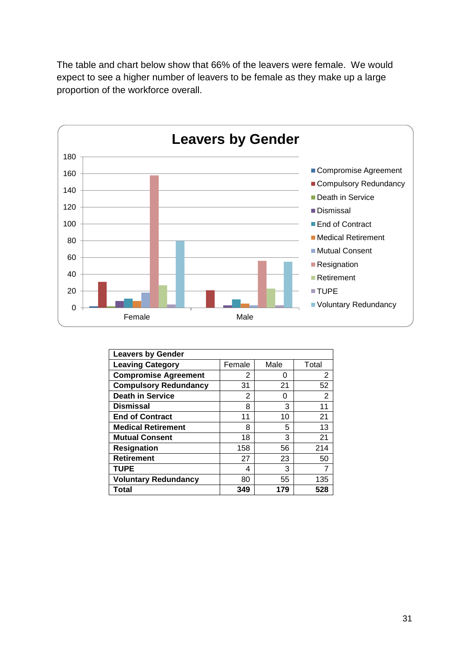The table and chart below show that 66% of the leavers were female. We would expect to see a higher number of leavers to be female as they make up a large proportion of the workforce overall.



| <b>Leavers by Gender</b>     |        |      |       |
|------------------------------|--------|------|-------|
| <b>Leaving Category</b>      | Female | Male | Total |
| <b>Compromise Agreement</b>  | 2      | O    | 2     |
| <b>Compulsory Redundancy</b> | 31     | 21   | 52    |
| <b>Death in Service</b>      | 2      | O    | 2     |
| <b>Dismissal</b>             | 8      | 3    | 11    |
| <b>End of Contract</b>       | 11     | 10   | 21    |
| <b>Medical Retirement</b>    | 8      | 5    | 13    |
| <b>Mutual Consent</b>        | 18     | 3    | 21    |
| <b>Resignation</b>           | 158    | 56   | 214   |
| <b>Retirement</b>            | 27     | 23   | 50    |
| <b>TUPE</b>                  | 4      | 3    |       |
| <b>Voluntary Redundancy</b>  | 80     | 55   | 135   |
| Total                        | 349    | 179  | 528   |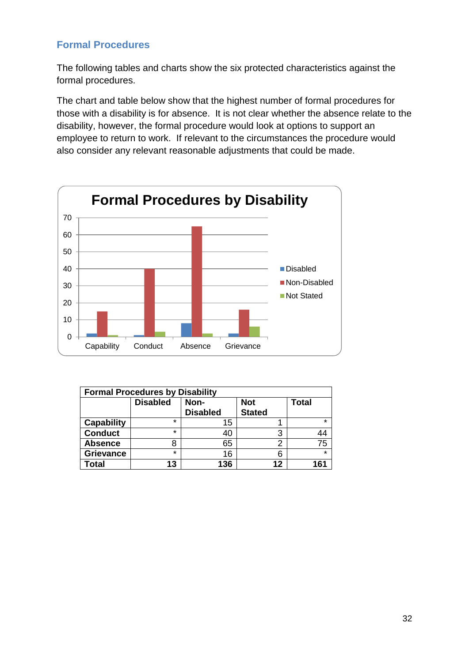## <span id="page-32-0"></span>**Formal Procedures**

The following tables and charts show the six protected characteristics against the formal procedures.

The chart and table below show that the highest number of formal procedures for those with a disability is for absence. It is not clear whether the absence relate to the disability, however, the formal procedure would look at options to support an employee to return to work. If relevant to the circumstances the procedure would also consider any relevant reasonable adjustments that could be made.



| <b>Formal Procedures by Disability</b> |                 |                         |                             |              |  |  |  |  |  |
|----------------------------------------|-----------------|-------------------------|-----------------------------|--------------|--|--|--|--|--|
|                                        | <b>Disabled</b> | Non-<br><b>Disabled</b> | <b>Not</b><br><b>Stated</b> | <b>Total</b> |  |  |  |  |  |
| <b>Capability</b>                      | $\star$         | 15                      |                             | $\star$      |  |  |  |  |  |
| <b>Conduct</b>                         | $\star$         | 40                      | 3                           | 44           |  |  |  |  |  |
| <b>Absence</b>                         | 8               | 65                      | ⌒                           | 75           |  |  |  |  |  |
| <b>Grievance</b>                       | $\star$         | 16                      | հ                           | $\star$      |  |  |  |  |  |
| Total                                  | 13              | 136                     | 12                          | 161          |  |  |  |  |  |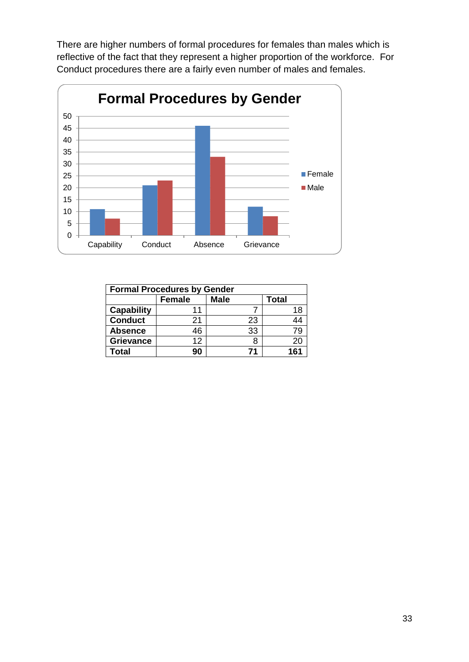There are higher numbers of formal procedures for females than males which is reflective of the fact that they represent a higher proportion of the workforce. For Conduct procedures there are a fairly even number of males and females.



| <b>Formal Procedures by Gender</b> |               |             |       |  |  |  |
|------------------------------------|---------------|-------------|-------|--|--|--|
|                                    | <b>Female</b> | <b>Male</b> | Total |  |  |  |
| <b>Capability</b>                  | 11            |             | 18    |  |  |  |
| <b>Conduct</b>                     | 21            | 23          | 44    |  |  |  |
| <b>Absence</b>                     | 46            | 33          | 79    |  |  |  |
| <b>Grievance</b>                   | 12            | 8           | 20    |  |  |  |
| <b>Total</b>                       | 90            | 71          | 161   |  |  |  |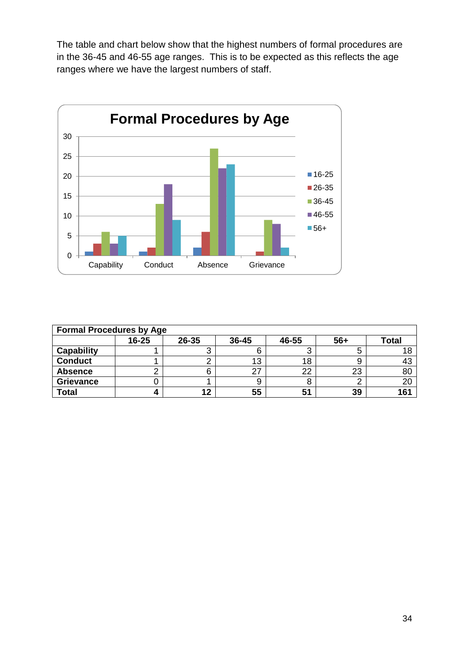The table and chart below show that the highest numbers of formal procedures are in the 36-45 and 46-55 age ranges. This is to be expected as this reflects the age ranges where we have the largest numbers of staff.



| <b>Formal Procedures by Age</b> |           |       |       |       |       |              |
|---------------------------------|-----------|-------|-------|-------|-------|--------------|
|                                 | $16 - 25$ | 26-35 | 36-45 | 46-55 | $56+$ | <b>Total</b> |
| <b>Capability</b>               |           |       |       |       |       |              |
| <b>Conduct</b>                  |           |       | 13    | 18    |       |              |
| <b>Absence</b>                  |           |       | 27    | 22    | 23    | 80           |
| <b>Grievance</b>                |           |       | У     |       |       | 20           |
| <b>Total</b>                    |           | 12    | 55    | 51    | 39    | 161          |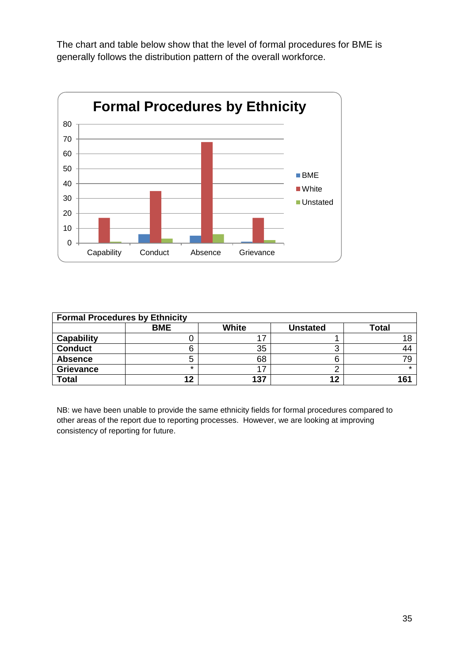The chart and table below show that the level of formal procedures for BME is generally follows the distribution pattern of the overall workforce.



| <b>Formal Procedures by Ethnicity</b> |            |              |                 |              |  |  |
|---------------------------------------|------------|--------------|-----------------|--------------|--|--|
|                                       | <b>BME</b> | <b>White</b> | <b>Unstated</b> | <b>Total</b> |  |  |
| Capability                            |            |              |                 |              |  |  |
| <b>Conduct</b>                        | 6          | 35           | ◠<br>ັ          |              |  |  |
| <b>Absence</b>                        | О          | 68           |                 |              |  |  |
| <b>Grievance</b>                      | *          |              |                 |              |  |  |
| <b>Total</b>                          | 12         | 137          | 12              | 161          |  |  |

NB: we have been unable to provide the same ethnicity fields for formal procedures compared to other areas of the report due to reporting processes. However, we are looking at improving consistency of reporting for future.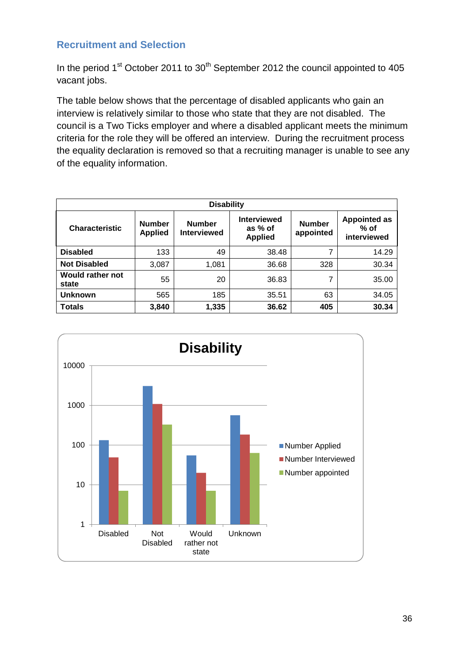### <span id="page-36-0"></span>**Recruitment and Selection**

In the period  $1<sup>st</sup>$  October 2011 to  $30<sup>th</sup>$  September 2012 the council appointed to 405 vacant jobs.

The table below shows that the percentage of disabled applicants who gain an interview is relatively similar to those who state that they are not disabled. The council is a Two Ticks employer and where a disabled applicant meets the minimum criteria for the role they will be offered an interview. During the recruitment process the equality declaration is removed so that a recruiting manager is unable to see any of the equality information.

| <b>Disability</b>                |                                 |                                     |                                                 |                            |                                              |  |  |
|----------------------------------|---------------------------------|-------------------------------------|-------------------------------------------------|----------------------------|----------------------------------------------|--|--|
| <b>Characteristic</b>            | <b>Number</b><br><b>Applied</b> | <b>Number</b><br><b>Interviewed</b> | <b>Interviewed</b><br>as % of<br><b>Applied</b> | <b>Number</b><br>appointed | <b>Appointed as</b><br>$%$ of<br>interviewed |  |  |
| <b>Disabled</b>                  | 133                             | 49                                  | 38.48                                           | 7                          | 14.29                                        |  |  |
| <b>Not Disabled</b>              | 3,087                           | 1,081                               | 36.68                                           | 328                        | 30.34                                        |  |  |
| <b>Would rather not</b><br>state | 55                              | 20                                  | 36.83                                           | 7                          | 35.00                                        |  |  |
| <b>Unknown</b>                   | 565                             | 185                                 | 35.51                                           | 63                         | 34.05                                        |  |  |
| <b>Totals</b>                    | 3,840                           | 1,335                               | 36.62                                           | 405                        | 30.34                                        |  |  |

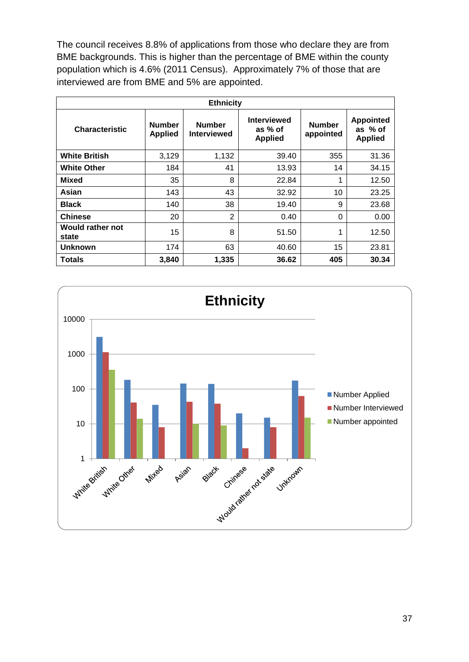The council receives 8.8% of applications from those who declare they are from BME backgrounds. This is higher than the percentage of BME within the county population which is 4.6% (2011 Census). Approximately 7% of those that are interviewed are from BME and 5% are appointed.

| <b>Ethnicity</b>                 |                                 |                                     |                                                 |                            |                                               |
|----------------------------------|---------------------------------|-------------------------------------|-------------------------------------------------|----------------------------|-----------------------------------------------|
| <b>Characteristic</b>            | <b>Number</b><br><b>Applied</b> | <b>Number</b><br><b>Interviewed</b> | <b>Interviewed</b><br>as % of<br><b>Applied</b> | <b>Number</b><br>appointed | <b>Appointed</b><br>as % of<br><b>Applied</b> |
| <b>White British</b>             | 3,129                           | 1,132                               | 39.40                                           | 355                        | 31.36                                         |
| <b>White Other</b>               | 184                             | 41                                  | 13.93                                           | 14                         | 34.15                                         |
| Mixed                            | 35                              | 8                                   | 22.84                                           | 1                          | 12.50                                         |
| Asian                            | 143                             | 43                                  | 32.92                                           | 10                         | 23.25                                         |
| <b>Black</b>                     | 140                             | 38                                  | 19.40                                           | 9                          | 23.68                                         |
| <b>Chinese</b>                   | 20                              | $\overline{2}$                      | 0.40                                            | 0                          | 0.00                                          |
| <b>Would rather not</b><br>state | 15                              | 8                                   | 51.50                                           | 1                          | 12.50                                         |
| <b>Unknown</b>                   | 174                             | 63                                  | 40.60                                           | 15                         | 23.81                                         |
| Totals                           | 3,840                           | 1,335                               | 36.62                                           | 405                        | 30.34                                         |



37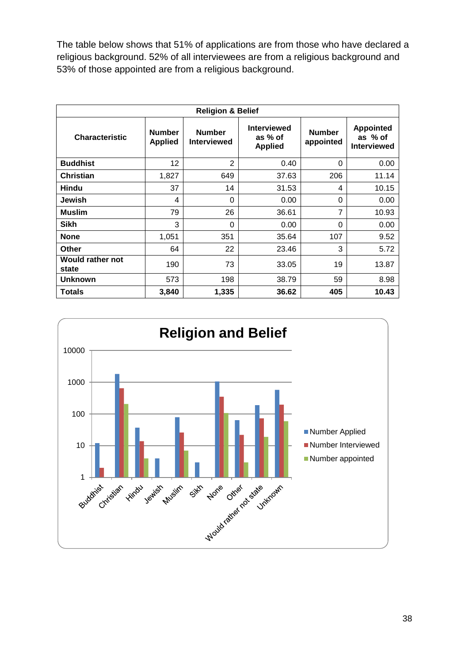The table below shows that 51% of applications are from those who have declared a religious background. 52% of all interviewees are from a religious background and 53% of those appointed are from a religious background.

| <b>Religion &amp; Belief</b>     |                                 |                                     |                                                 |                            |                                                   |
|----------------------------------|---------------------------------|-------------------------------------|-------------------------------------------------|----------------------------|---------------------------------------------------|
| <b>Characteristic</b>            | <b>Number</b><br><b>Applied</b> | <b>Number</b><br><b>Interviewed</b> | <b>Interviewed</b><br>as % of<br><b>Applied</b> | <b>Number</b><br>appointed | <b>Appointed</b><br>as % of<br><b>Interviewed</b> |
| <b>Buddhist</b>                  | 12                              | $\overline{2}$                      | 0.40                                            | 0                          | 0.00                                              |
| <b>Christian</b>                 | 1,827                           | 649                                 | 37.63                                           | 206                        | 11.14                                             |
| <b>Hindu</b>                     | 37                              | 14                                  | 31.53                                           | 4                          | 10.15                                             |
| <b>Jewish</b>                    | 4                               | $\Omega$                            | 0.00                                            | 0                          | 0.00                                              |
| <b>Muslim</b>                    | 79                              | 26                                  | 36.61                                           | 7                          | 10.93                                             |
| Sikh                             | 3                               | 0                                   | 0.00                                            | 0                          | 0.00                                              |
| <b>None</b>                      | 1,051                           | 351                                 | 35.64                                           | 107                        | 9.52                                              |
| <b>Other</b>                     | 64                              | 22                                  | 23.46                                           | 3                          | 5.72                                              |
| <b>Would rather not</b><br>state | 190                             | 73                                  | 33.05                                           | 19                         | 13.87                                             |
| <b>Unknown</b>                   | 573                             | 198                                 | 38.79                                           | 59                         | 8.98                                              |
| Totals                           | 3,840                           | 1,335                               | 36.62                                           | 405                        | 10.43                                             |

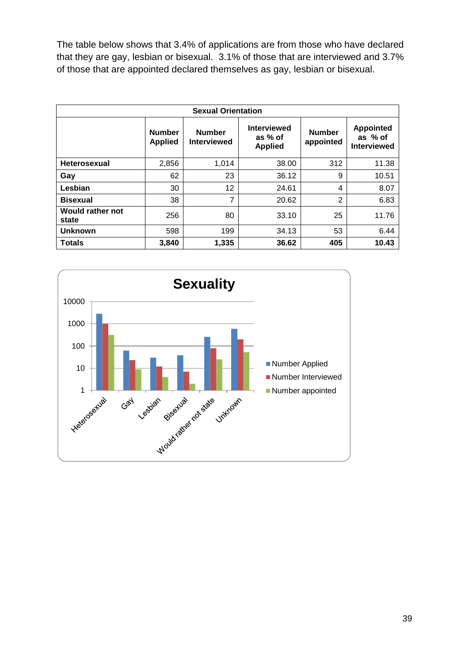The table below shows that 3.4% of applications are from those who have declared that they are gay, lesbian or bisexual. 3.1% of those that are interviewed and 3.7% of those that are appointed declared themselves as gay, lesbian or bisexual.

| <b>Sexual Orientation</b>        |                                 |                                     |                                                 |                            |                                                   |
|----------------------------------|---------------------------------|-------------------------------------|-------------------------------------------------|----------------------------|---------------------------------------------------|
|                                  | <b>Number</b><br><b>Applied</b> | <b>Number</b><br><b>Interviewed</b> | <b>Interviewed</b><br>as % of<br><b>Applied</b> | <b>Number</b><br>appointed | <b>Appointed</b><br>as % of<br><b>Interviewed</b> |
| <b>Heterosexual</b>              | 2,856                           | 1,014                               | 38.00                                           | 312                        | 11.38                                             |
| Gay                              | 62                              | 23                                  | 36.12                                           | 9                          | 10.51                                             |
| Lesbian                          | 30                              | 12                                  | 24.61                                           | 4                          | 8.07                                              |
| <b>Bisexual</b>                  | 38                              | 7                                   | 20.62                                           | 2                          | 6.83                                              |
| <b>Would rather not</b><br>state | 256                             | 80                                  | 33.10                                           | 25                         | 11.76                                             |
| <b>Unknown</b>                   | 598                             | 199                                 | 34.13                                           | 53                         | 6.44                                              |
| <b>Totals</b>                    | 3,840                           | 1,335                               | 36.62                                           | 405                        | 10.43                                             |

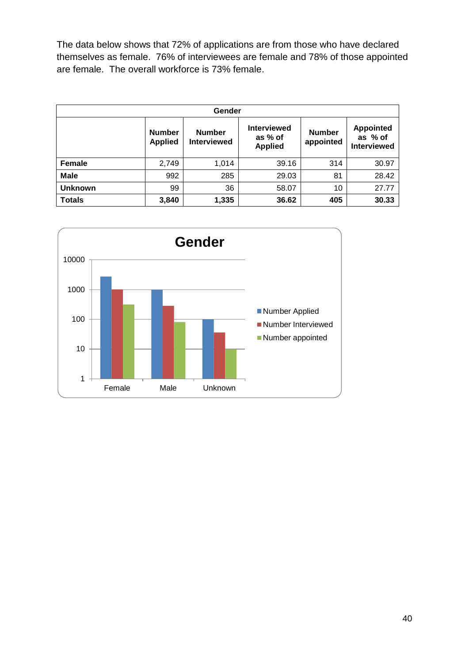The data below shows that 72% of applications are from those who have declared themselves as female. 76% of interviewees are female and 78% of those appointed are female. The overall workforce is 73% female.

| Gender         |                                 |                                     |                                                 |                            |                                                   |
|----------------|---------------------------------|-------------------------------------|-------------------------------------------------|----------------------------|---------------------------------------------------|
|                | <b>Number</b><br><b>Applied</b> | <b>Number</b><br><b>Interviewed</b> | <b>Interviewed</b><br>as % of<br><b>Applied</b> | <b>Number</b><br>appointed | <b>Appointed</b><br>as % of<br><b>Interviewed</b> |
| Female         | 2,749                           | 1,014                               | 39.16                                           | 314                        | 30.97                                             |
| <b>Male</b>    | 992                             | 285                                 | 29.03                                           | 81                         | 28.42                                             |
| <b>Unknown</b> | 99                              | 36                                  | 58.07                                           | 10                         | 27.77                                             |
| <b>Totals</b>  | 3,840                           | 1,335                               | 36.62                                           | 405                        | 30.33                                             |

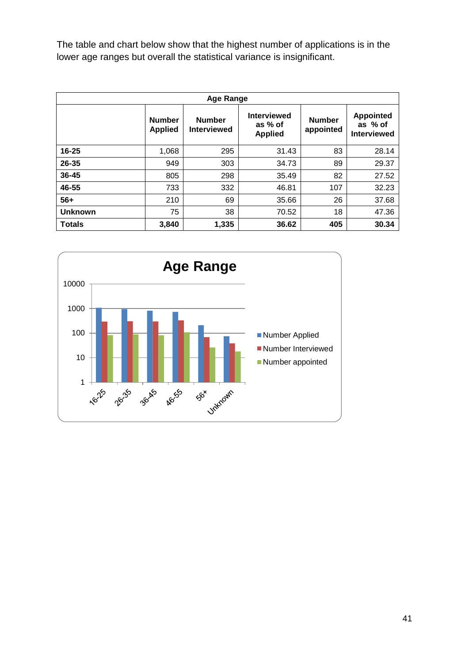The table and chart below show that the highest number of applications is in the lower age ranges but overall the statistical variance is insignificant.

| <b>Age Range</b> |                                 |                                     |                                                 |                            |                                                   |  |
|------------------|---------------------------------|-------------------------------------|-------------------------------------------------|----------------------------|---------------------------------------------------|--|
|                  | <b>Number</b><br><b>Applied</b> | <b>Number</b><br><b>Interviewed</b> | <b>Interviewed</b><br>as % of<br><b>Applied</b> | <b>Number</b><br>appointed | <b>Appointed</b><br>as % of<br><b>Interviewed</b> |  |
| $16 - 25$        | 1,068                           | 295                                 | 31.43                                           | 83                         | 28.14                                             |  |
| 26-35            | 949                             | 303                                 | 34.73                                           | 89                         | 29.37                                             |  |
| $36 - 45$        | 805                             | 298                                 | 35.49                                           | 82                         | 27.52                                             |  |
| 46-55            | 733                             | 332                                 | 46.81                                           | 107                        | 32.23                                             |  |
| $56+$            | 210                             | 69                                  | 35.66                                           | 26                         | 37.68                                             |  |
| <b>Unknown</b>   | 75                              | 38                                  | 70.52                                           | 18                         | 47.36                                             |  |
| <b>Totals</b>    | 3,840                           | 1,335                               | 36.62                                           | 405                        | 30.34                                             |  |

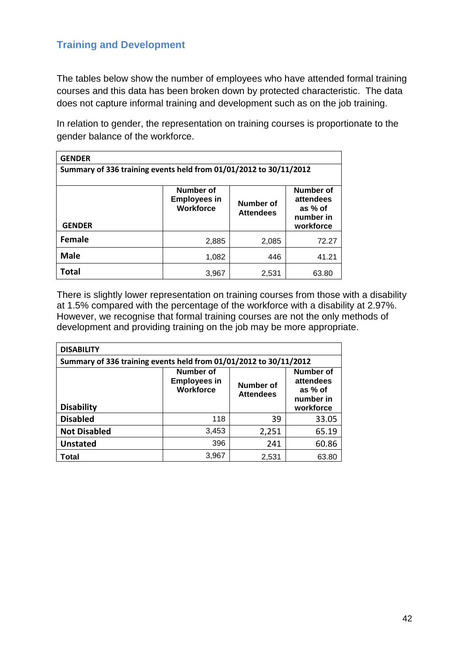## <span id="page-42-0"></span>**Training and Development**

The tables below show the number of employees who have attended formal training courses and this data has been broken down by protected characteristic. The data does not capture informal training and development such as on the job training.

In relation to gender, the representation on training courses is proportionate to the gender balance of the workforce.

| <b>GENDER</b>                                                                                                                                                         |       |       |       |  |  |  |
|-----------------------------------------------------------------------------------------------------------------------------------------------------------------------|-------|-------|-------|--|--|--|
| Summary of 336 training events held from 01/01/2012 to 30/11/2012                                                                                                     |       |       |       |  |  |  |
| Number of<br>Number of<br><b>Employees in</b><br>attendees<br>Number of<br><b>Workforce</b><br>as % of<br><b>Attendees</b><br>number in<br><b>GENDER</b><br>workforce |       |       |       |  |  |  |
| Female                                                                                                                                                                | 2,885 | 2,085 | 72.27 |  |  |  |
| <b>Male</b>                                                                                                                                                           | 1,082 | 446   | 41.21 |  |  |  |
| <b>Total</b>                                                                                                                                                          | 3.967 | 2,531 | 63.80 |  |  |  |

There is slightly lower representation on training courses from those with a disability at 1.5% compared with the percentage of the workforce with a disability at 2.97%. However, we recognise that formal training courses are not the only methods of development and providing training on the job may be more appropriate.

| <b>DISABILITY</b>                                                 |                                                                                                                                                      |       |       |  |  |  |
|-------------------------------------------------------------------|------------------------------------------------------------------------------------------------------------------------------------------------------|-------|-------|--|--|--|
| Summary of 336 training events held from 01/01/2012 to 30/11/2012 |                                                                                                                                                      |       |       |  |  |  |
| <b>Disability</b>                                                 | Number of<br>Number of<br><b>Employees in</b><br>attendees<br>Number of<br><b>Workforce</b><br>as % of<br><b>Attendees</b><br>number in<br>workforce |       |       |  |  |  |
| <b>Disabled</b>                                                   | 118                                                                                                                                                  | 39    | 33.05 |  |  |  |
| <b>Not Disabled</b>                                               | 3,453                                                                                                                                                | 2,251 | 65.19 |  |  |  |
| <b>Unstated</b>                                                   | 396                                                                                                                                                  | 241   | 60.86 |  |  |  |
| Total                                                             | 3,967                                                                                                                                                | 2,531 | 63.80 |  |  |  |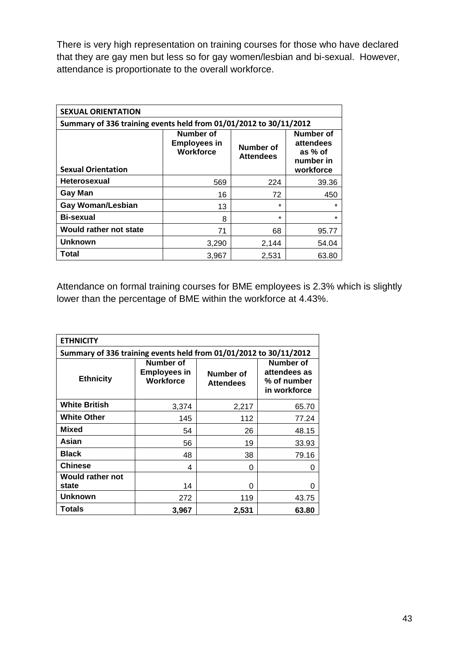There is very high representation on training courses for those who have declared that they are gay men but less so for gay women/lesbian and bi-sexual. However, attendance is proportionate to the overall workforce.

| <b>SEXUAL ORIENTATION</b>                                         |                                                                                                                                                      |         |         |  |  |  |
|-------------------------------------------------------------------|------------------------------------------------------------------------------------------------------------------------------------------------------|---------|---------|--|--|--|
| Summary of 336 training events held from 01/01/2012 to 30/11/2012 |                                                                                                                                                      |         |         |  |  |  |
| <b>Sexual Orientation</b>                                         | Number of<br>Number of<br><b>Employees in</b><br>attendees<br>Number of<br><b>Workforce</b><br>as % of<br><b>Attendees</b><br>number in<br>workforce |         |         |  |  |  |
| <b>Heterosexual</b>                                               | 569                                                                                                                                                  | 224     | 39.36   |  |  |  |
| Gay Man                                                           | 16                                                                                                                                                   | 72      | 450     |  |  |  |
| <b>Gay Woman/Lesbian</b>                                          | 13                                                                                                                                                   | $\star$ | ÷       |  |  |  |
| <b>Bi-sexual</b>                                                  | 8                                                                                                                                                    | $\star$ | $\star$ |  |  |  |
| Would rather not state                                            | 71                                                                                                                                                   | 68      | 95.77   |  |  |  |
| <b>Unknown</b>                                                    | 3,290                                                                                                                                                | 2.144   | 54.04   |  |  |  |
| Total                                                             | 3,967                                                                                                                                                | 2,531   | 63.80   |  |  |  |

Attendance on formal training courses for BME employees is 2.3% which is slightly lower than the percentage of BME within the workforce at 4.43%.

| <b>ETHNICITY</b>                                                  |                                                      |                               |                                                          |  |  |
|-------------------------------------------------------------------|------------------------------------------------------|-------------------------------|----------------------------------------------------------|--|--|
| Summary of 336 training events held from 01/01/2012 to 30/11/2012 |                                                      |                               |                                                          |  |  |
| <b>Ethnicity</b>                                                  | Number of<br><b>Employees in</b><br><b>Workforce</b> | Number of<br><b>Attendees</b> | Number of<br>attendees as<br>% of number<br>in workforce |  |  |
| <b>White British</b>                                              | 3,374                                                | 2,217                         | 65.70                                                    |  |  |
| <b>White Other</b>                                                | 145                                                  | 112                           | 77.24                                                    |  |  |
| <b>Mixed</b>                                                      | 54                                                   | 26                            | 48.15                                                    |  |  |
| Asian                                                             | 56                                                   | 19                            | 33.93                                                    |  |  |
| <b>Black</b>                                                      | 48                                                   | 38                            | 79.16                                                    |  |  |
| <b>Chinese</b>                                                    | 4                                                    | 0                             | 0                                                        |  |  |
| Would rather not<br>state                                         | 14                                                   | 0                             | O                                                        |  |  |
| <b>Unknown</b>                                                    | 272                                                  | 119                           | 43.75                                                    |  |  |
| Totals                                                            | 3.967                                                | 2,531                         | 63.80                                                    |  |  |